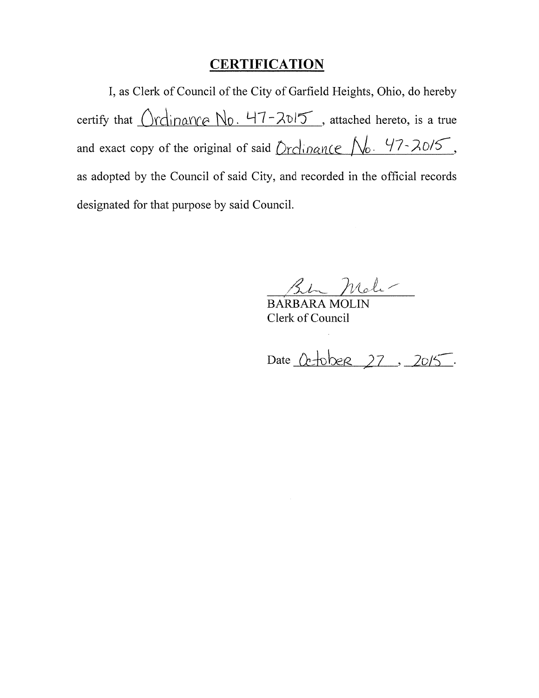## **CERTIFICATION**

I, as Clerk of Council of the City of Garfield Heights, Ohio, do hereby certify that  $Ordinance$   $No.$   $47-2015$ , attached hereto, is a true and exact copy of the original of said  $Drclinance$   $\mathcal{N}_0$ .  $47\text{-}20/5$ , as adopted by the Council of said City, and recorded in the official records designated for that purpose by said Council.

BARBARA Mole-

Clerk of Council

Date Cc-tober 27, 2015.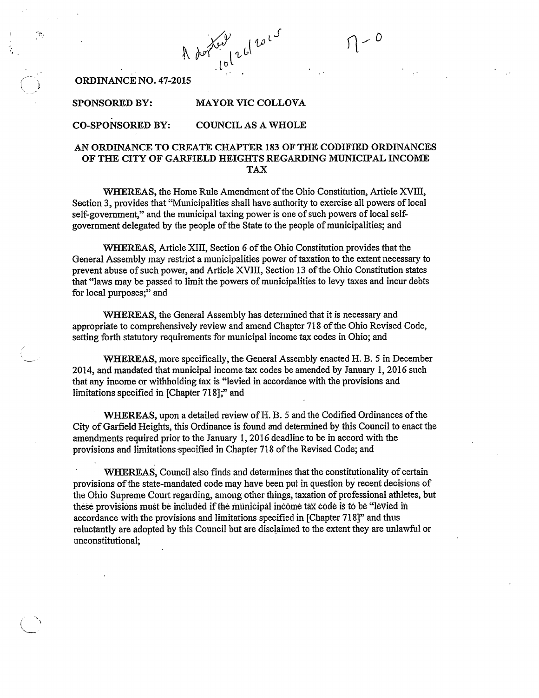A dor lot 26/2015

ORDINANCE NO. 47-2015

#### **MAYOR VIC COLLOVA SPONSORED BY:**

#### **CO-SPONSORED BY: COUNCIL AS A WHOLE**

#### AN ORDINANCE TO CREATE CHAPTER 183 OF THE CODIFIED ORDINANCES OF THE CITY OF GARFIELD HEIGHTS REGARDING MUNICIPAL INCOME **TAX**

WHEREAS, the Home Rule Amendment of the Ohio Constitution, Article XVIII, Section 3, provides that "Municipalities shall have authority to exercise all powers of local self-government," and the municipal taxing power is one of such powers of local selfgovernment delegated by the people of the State to the people of municipalities; and

WHEREAS, Article XIII, Section 6 of the Ohio Constitution provides that the General Assembly may restrict a municipalities power of taxation to the extent necessary to prevent abuse of such power, and Article XVIII, Section 13 of the Ohio Constitution states that "laws may be passed to limit the powers of municipalities to levy taxes and incur debts for local purposes;" and

WHEREAS, the General Assembly has determined that it is necessary and appropriate to comprehensively review and amend Chapter 718 of the Ohio Revised Code, setting forth statutory requirements for municipal income tax codes in Ohio; and

WHEREAS, more specifically, the General Assembly enacted H. B. 5 in December 2014, and mandated that municipal income tax codes be amended by January 1, 2016 such that any income or withholding tax is "levied in accordance with the provisions and limitations specified in [Chapter 718];" and

WHEREAS, upon a detailed review of H. B. 5 and the Codified Ordinances of the City of Garfield Heights, this Ordinance is found and determined by this Council to enact the amendments required prior to the January 1, 2016 deadline to be in accord with the provisions and limitations specified in Chapter 718 of the Revised Code; and

WHEREAS, Council also finds and determines that the constitutionality of certain provisions of the state-mandated code may have been put in question by recent decisions of the Ohio Supreme Court regarding, among other things, taxation of professional athletes, but these provisions must be included if the municipal income tax code is to be "levied in accordance with the provisions and limitations specified in [Chapter 718]" and thus reluctantly are adopted by this Council but are disclaimed to the extent they are unlawful or unconstitutional;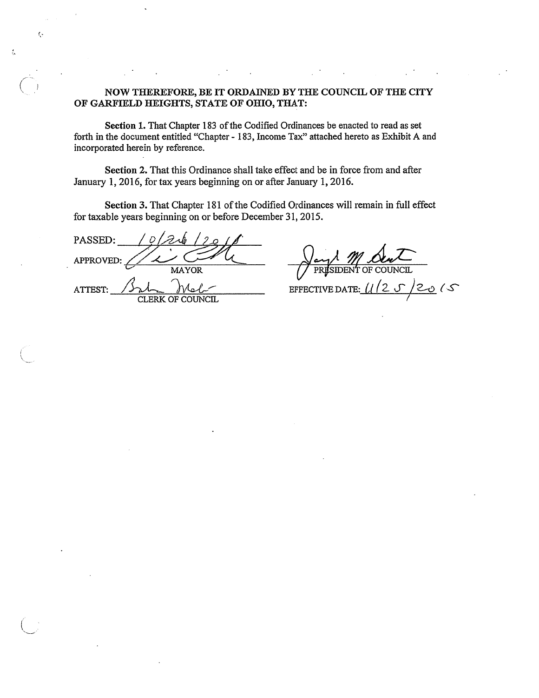#### NOW THEREFORE, BE IT ORDAINED BY THE COUNCIL OF THE CITY OF GARFIELD HEIGHTS, STATE OF OHIO, THAT:

Section 1. That Chapter 183 of the Codified Ordinances be enacted to read as set forth in the document entitled "Chapter - 183, Income Tax" attached hereto as Exhibit A and incorporated herein by reference.

Section 2. That this Ordinance shall take effect and be in force from and after January 1, 2016, for tax years beginning on or after January 1, 2016.

Section 3. That Chapter 181 of the Codified Ordinances will remain in full effect for taxable years beginning on or before December 31, 2015.

PASSED: D APPROVED: **MAYOR** ATTEST: CLERK OF COUNCIL

ç,

Á

IDEN

 $(25/2015)$ EFFECTIVE DATE:  $\iota$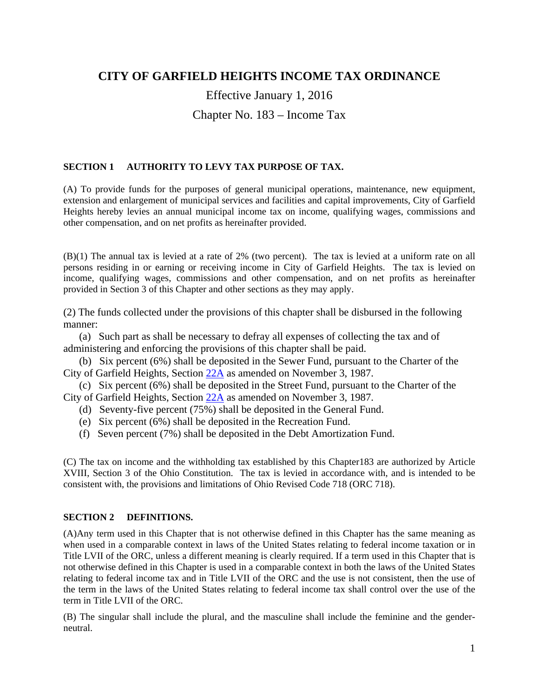## **CITY OF GARFIELD HEIGHTS INCOME TAX ORDINANCE**

# Effective January 1, 2016 Chapter No. 183 – Income Tax

### **SECTION 1 AUTHORITY TO LEVY TAX PURPOSE OF TAX.**

(A) To provide funds for the purposes of general municipal operations, maintenance, new equipment, extension and enlargement of municipal services and facilities and capital improvements, City of Garfield Heights hereby levies an annual municipal income tax on income, qualifying wages, commissions and other compensation, and on net profits as hereinafter provided.

(B)(1) The annual tax is levied at a rate of 2% (two percent). The tax is levied at a uniform rate on all persons residing in or earning or receiving income in City of Garfield Heights. The tax is levied on income, qualifying wages, commissions and other compensation, and on net profits as hereinafter provided in Section 3 of this Chapter and other sections as they may apply.

(2) The funds collected under the provisions of this chapter shall be disbursed in the following manner:

 (a) Such part as shall be necessary to defray all expenses of collecting the tax and of administering and enforcing the provisions of this chapter shall be paid.

 (b) Six percent (6%) shall be deposited in the Sewer Fund, pursuant to the Charter of the City of Garfield Heights, Section 22A as amended on November 3, 1987.

 (c) Six percent (6%) shall be deposited in the Street Fund, pursuant to the Charter of the City of Garfield Heights, Section 22A as amended on November 3, 1987.

(d) Seventy-five percent (75%) shall be deposited in the General Fund.

- (e) Six percent (6%) shall be deposited in the Recreation Fund.
- (f) Seven percent (7%) shall be deposited in the Debt Amortization Fund.

(C) The tax on income and the withholding tax established by this Chapter183 are authorized by Article XVIII, Section 3 of the Ohio Constitution. The tax is levied in accordance with, and is intended to be consistent with, the provisions and limitations of Ohio Revised Code 718 (ORC 718).

### **SECTION 2 DEFINITIONS.**

(A)Any term used in this Chapter that is not otherwise defined in this Chapter has the same meaning as when used in a comparable context in laws of the United States relating to federal income taxation or in Title LVII of the ORC, unless a different meaning is clearly required. If a term used in this Chapter that is not otherwise defined in this Chapter is used in a comparable context in both the laws of the United States relating to federal income tax and in Title LVII of the ORC and the use is not consistent, then the use of the term in the laws of the United States relating to federal income tax shall control over the use of the term in Title LVII of the ORC.

(B) The singular shall include the plural, and the masculine shall include the feminine and the genderneutral.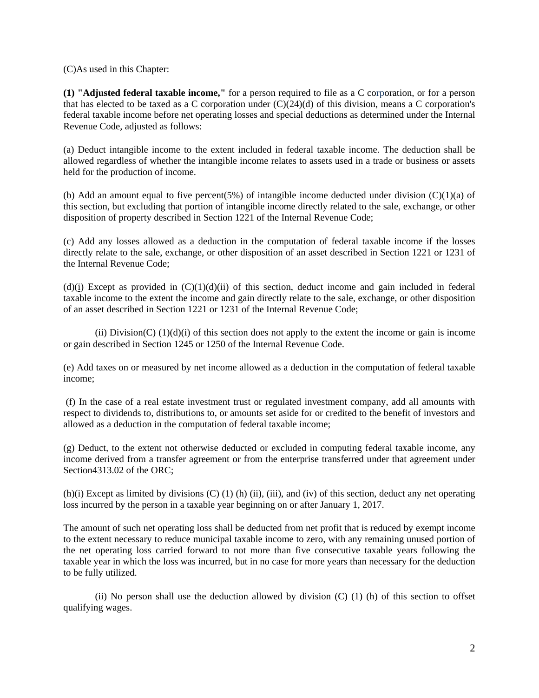#### (C)As used in this Chapter:

**(1) "Adjusted federal taxable income,"** for a person required to file as a C corporation, or for a person that has elected to be taxed as a C corporation under  $(C)(24)(d)$  of this division, means a C corporation's federal taxable income before net operating losses and special deductions as determined under the Internal Revenue Code, adjusted as follows:

(a) Deduct intangible income to the extent included in federal taxable income. The deduction shall be allowed regardless of whether the intangible income relates to assets used in a trade or business or assets held for the production of income.

(b) Add an amount equal to five percent(5%) of intangible income deducted under division  $(C)(1)(a)$  of this section, but excluding that portion of intangible income directly related to the sale, exchange, or other disposition of property described in Section 1221 of the Internal Revenue Code;

(c) Add any losses allowed as a deduction in the computation of federal taxable income if the losses directly relate to the sale, exchange, or other disposition of an asset described in Section 1221 or 1231 of the Internal Revenue Code;

 $(d)(i)$  Except as provided in  $(C)(1)(d)(ii)$  of this section, deduct income and gain included in federal taxable income to the extent the income and gain directly relate to the sale, exchange, or other disposition of an asset described in Section 1221 or 1231 of the Internal Revenue Code;

(ii) Division(C)  $(1)(d)(i)$  of this section does not apply to the extent the income or gain is income or gain described in Section 1245 or 1250 of the Internal Revenue Code.

(e) Add taxes on or measured by net income allowed as a deduction in the computation of federal taxable income;

 (f) In the case of a real estate investment trust or regulated investment company, add all amounts with respect to dividends to, distributions to, or amounts set aside for or credited to the benefit of investors and allowed as a deduction in the computation of federal taxable income;

(g) Deduct, to the extent not otherwise deducted or excluded in computing federal taxable income, any income derived from a transfer agreement or from the enterprise transferred under that agreement under Section4313.02 of the ORC;

(h)(i) Except as limited by divisions (C) (1) (h) (ii), (iii), and (iv) of this section, deduct any net operating loss incurred by the person in a taxable year beginning on or after January 1, 2017.

The amount of such net operating loss shall be deducted from net profit that is reduced by exempt income to the extent necessary to reduce municipal taxable income to zero, with any remaining unused portion of the net operating loss carried forward to not more than five consecutive taxable years following the taxable year in which the loss was incurred, but in no case for more years than necessary for the deduction to be fully utilized.

(ii) No person shall use the deduction allowed by division  $(C)$  (1) (h) of this section to offset qualifying wages.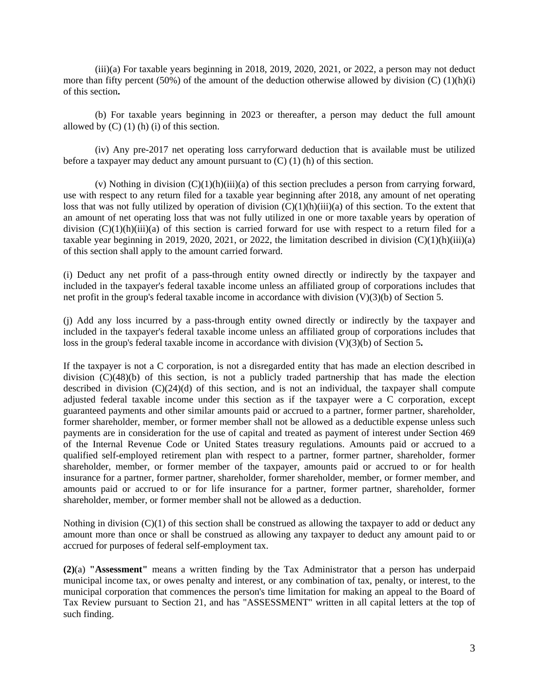(iii)(a) For taxable years beginning in 2018, 2019, 2020, 2021, or 2022, a person may not deduct more than fifty percent (50%) of the amount of the deduction otherwise allowed by division  $(C)$  (1)(h)(i) of this section**.**

(b) For taxable years beginning in 2023 or thereafter, a person may deduct the full amount allowed by  $(C)$  (1) (h) (i) of this section.

(iv) Any pre-2017 net operating loss carryforward deduction that is available must be utilized before a taxpayer may deduct any amount pursuant to  $(C)$  (1) (h) of this section.

(v) Nothing in division  $(C)(1)(h)(iii)(a)$  of this section precludes a person from carrying forward, use with respect to any return filed for a taxable year beginning after 2018, any amount of net operating loss that was not fully utilized by operation of division  $(C)(1)(h)(iii)(a)$  of this section. To the extent that an amount of net operating loss that was not fully utilized in one or more taxable years by operation of division  $(C)(1)(h)(iii)(a)$  of this section is carried forward for use with respect to a return filed for a taxable year beginning in 2019, 2020, 2021, or 2022, the limitation described in division  $(C)(1)(h)(iii)(a)$ of this section shall apply to the amount carried forward.

(i) Deduct any net profit of a pass-through entity owned directly or indirectly by the taxpayer and included in the taxpayer's federal taxable income unless an affiliated group of corporations includes that net profit in the group's federal taxable income in accordance with division (V)(3)(b) of Section 5.

(j) Add any loss incurred by a pass-through entity owned directly or indirectly by the taxpayer and included in the taxpayer's federal taxable income unless an affiliated group of corporations includes that loss in the group's federal taxable income in accordance with division (V)(3)(b) of Section 5**.** 

If the taxpayer is not a C corporation, is not a disregarded entity that has made an election described in division (C)(48)(b) of this section, is not a publicly traded partnership that has made the election described in division  $(C)(24)(d)$  of this section, and is not an individual, the taxpayer shall compute adjusted federal taxable income under this section as if the taxpayer were a C corporation, except guaranteed payments and other similar amounts paid or accrued to a partner, former partner, shareholder, former shareholder, member, or former member shall not be allowed as a deductible expense unless such payments are in consideration for the use of capital and treated as payment of interest under Section 469 of the Internal Revenue Code or United States treasury regulations. Amounts paid or accrued to a qualified self-employed retirement plan with respect to a partner, former partner, shareholder, former shareholder, member, or former member of the taxpayer, amounts paid or accrued to or for health insurance for a partner, former partner, shareholder, former shareholder, member, or former member, and amounts paid or accrued to or for life insurance for a partner, former partner, shareholder, former shareholder, member, or former member shall not be allowed as a deduction.

Nothing in division (C)(1) of this section shall be construed as allowing the taxpayer to add or deduct any amount more than once or shall be construed as allowing any taxpayer to deduct any amount paid to or accrued for purposes of federal self-employment tax.

**(2)**(a) **"Assessment"** means a written finding by the Tax Administrator that a person has underpaid municipal income tax, or owes penalty and interest, or any combination of tax, penalty, or interest, to the municipal corporation that commences the person's time limitation for making an appeal to the Board of Tax Review pursuant to Section 21, and has "ASSESSMENT" written in all capital letters at the top of such finding.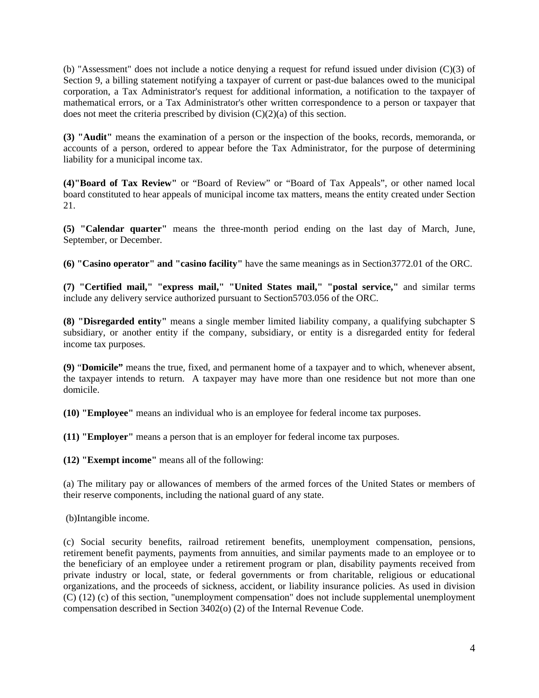(b) "Assessment" does not include a notice denying a request for refund issued under division (C)(3) of Section 9, a billing statement notifying a taxpayer of current or past-due balances owed to the municipal corporation, a Tax Administrator's request for additional information, a notification to the taxpayer of mathematical errors, or a Tax Administrator's other written correspondence to a person or taxpayer that does not meet the criteria prescribed by division  $(C)(2)(a)$  of this section.

**(3) "Audit"** means the examination of a person or the inspection of the books, records, memoranda, or accounts of a person, ordered to appear before the Tax Administrator, for the purpose of determining liability for a municipal income tax.

**(4)"Board of Tax Review"** or "Board of Review" or "Board of Tax Appeals", or other named local board constituted to hear appeals of municipal income tax matters, means the entity created under Section 21.

**(5) "Calendar quarter"** means the three-month period ending on the last day of March, June, September, or December.

**(6) "Casino operator" and "casino facility"** have the same meanings as in Section3772.01 of the ORC.

**(7) "Certified mail," "express mail," "United States mail," "postal service,"** and similar terms include any delivery service authorized pursuant to Section5703.056 of the ORC.

**(8) "Disregarded entity"** means a single member limited liability company, a qualifying subchapter S subsidiary, or another entity if the company, subsidiary, or entity is a disregarded entity for federal income tax purposes.

**(9)** "**Domicile"** means the true, fixed, and permanent home of a taxpayer and to which, whenever absent, the taxpayer intends to return. A taxpayer may have more than one residence but not more than one domicile.

**(10) "Employee"** means an individual who is an employee for federal income tax purposes.

**(11) "Employer"** means a person that is an employer for federal income tax purposes.

**(12) "Exempt income"** means all of the following:

(a) The military pay or allowances of members of the armed forces of the United States or members of their reserve components, including the national guard of any state.

(b)Intangible income.

(c) Social security benefits, railroad retirement benefits, unemployment compensation, pensions, retirement benefit payments, payments from annuities, and similar payments made to an employee or to the beneficiary of an employee under a retirement program or plan, disability payments received from private industry or local, state, or federal governments or from charitable, religious or educational organizations, and the proceeds of sickness, accident, or liability insurance policies. As used in division (C) (12) (c) of this section, "unemployment compensation" does not include supplemental unemployment compensation described in Section 3402(o) (2) of the Internal Revenue Code.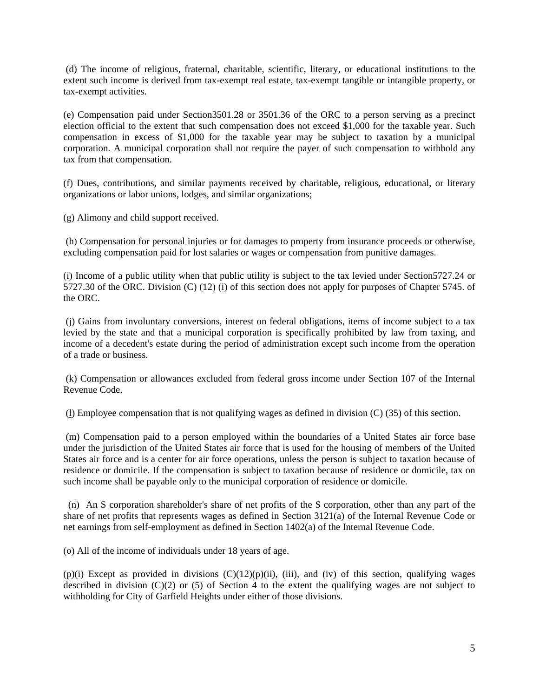(d) The income of religious, fraternal, charitable, scientific, literary, or educational institutions to the extent such income is derived from tax-exempt real estate, tax-exempt tangible or intangible property, or tax-exempt activities.

(e) Compensation paid under Section3501.28 or 3501.36 of the ORC to a person serving as a precinct election official to the extent that such compensation does not exceed \$1,000 for the taxable year. Such compensation in excess of \$1,000 for the taxable year may be subject to taxation by a municipal corporation. A municipal corporation shall not require the payer of such compensation to withhold any tax from that compensation.

(f) Dues, contributions, and similar payments received by charitable, religious, educational, or literary organizations or labor unions, lodges, and similar organizations;

(g) Alimony and child support received.

 (h) Compensation for personal injuries or for damages to property from insurance proceeds or otherwise, excluding compensation paid for lost salaries or wages or compensation from punitive damages.

(i) Income of a public utility when that public utility is subject to the tax levied under Section5727.24 or 5727.30 of the ORC. Division (C) (12) (i) of this section does not apply for purposes of Chapter 5745. of the ORC.

 (j) Gains from involuntary conversions, interest on federal obligations, items of income subject to a tax levied by the state and that a municipal corporation is specifically prohibited by law from taxing, and income of a decedent's estate during the period of administration except such income from the operation of a trade or business.

 (k) Compensation or allowances excluded from federal gross income under Section 107 of the Internal Revenue Code.

(l) Employee compensation that is not qualifying wages as defined in division (C) (35) of this section.

 (m) Compensation paid to a person employed within the boundaries of a United States air force base under the jurisdiction of the United States air force that is used for the housing of members of the United States air force and is a center for air force operations, unless the person is subject to taxation because of residence or domicile. If the compensation is subject to taxation because of residence or domicile, tax on such income shall be payable only to the municipal corporation of residence or domicile.

 (n) An S corporation shareholder's share of net profits of the S corporation, other than any part of the share of net profits that represents wages as defined in Section 3121(a) of the Internal Revenue Code or net earnings from self-employment as defined in Section 1402(a) of the Internal Revenue Code.

(o) All of the income of individuals under 18 years of age.

 $(p)(i)$  Except as provided in divisions  $(C)(12)(p)(ii)$ , (iii), and (iv) of this section, qualifying wages described in division  $(C)(2)$  or  $(5)$  of Section 4 to the extent the qualifying wages are not subject to withholding for City of Garfield Heights under either of those divisions.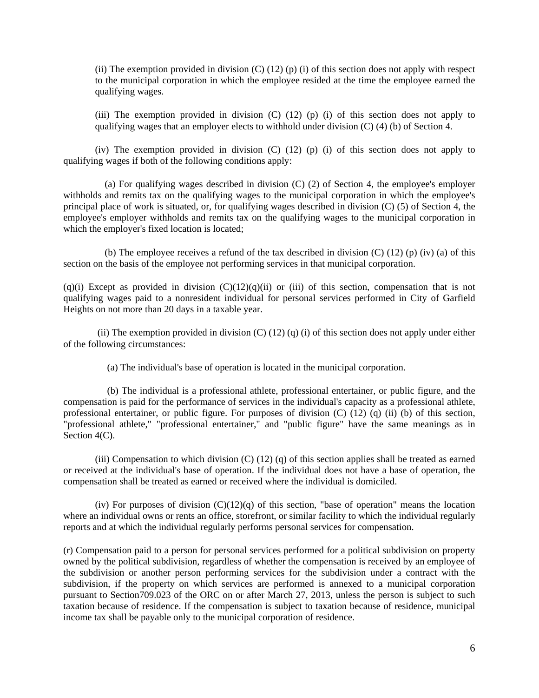(ii) The exemption provided in division  $(C)$  (12) (p) (i) of this section does not apply with respect to the municipal corporation in which the employee resided at the time the employee earned the qualifying wages.

(iii) The exemption provided in division  $(C)$  (12) (p) (i) of this section does not apply to qualifying wages that an employer elects to withhold under division (C) (4) (b) of Section 4.

(iv) The exemption provided in division (C) (12) (p) (i) of this section does not apply to qualifying wages if both of the following conditions apply:

 (a) For qualifying wages described in division (C) (2) of Section 4, the employee's employer withholds and remits tax on the qualifying wages to the municipal corporation in which the employee's principal place of work is situated, or, for qualifying wages described in division (C) (5) of Section 4, the employee's employer withholds and remits tax on the qualifying wages to the municipal corporation in which the employer's fixed location is located;

(b) The employee receives a refund of the tax described in division  $(C)$  (12) (p) (iv) (a) of this section on the basis of the employee not performing services in that municipal corporation.

 $(q)(i)$  Except as provided in division  $(C)(12)(q)(ii)$  or (iii) of this section, compensation that is not qualifying wages paid to a nonresident individual for personal services performed in City of Garfield Heights on not more than 20 days in a taxable year.

(ii) The exemption provided in division  $(C)$  (12) (q) (i) of this section does not apply under either of the following circumstances:

(a) The individual's base of operation is located in the municipal corporation.

 (b) The individual is a professional athlete, professional entertainer, or public figure, and the compensation is paid for the performance of services in the individual's capacity as a professional athlete, professional entertainer, or public figure. For purposes of division (C) (12) (q) (ii) (b) of this section, "professional athlete," "professional entertainer," and "public figure" have the same meanings as in Section 4(C).

(iii) Compensation to which division  $(C)$  (12) (q) of this section applies shall be treated as earned or received at the individual's base of operation. If the individual does not have a base of operation, the compensation shall be treated as earned or received where the individual is domiciled.

(iv) For purposes of division  $(C)(12)(q)$  of this section, "base of operation" means the location where an individual owns or rents an office, storefront, or similar facility to which the individual regularly reports and at which the individual regularly performs personal services for compensation.

(r) Compensation paid to a person for personal services performed for a political subdivision on property owned by the political subdivision, regardless of whether the compensation is received by an employee of the subdivision or another person performing services for the subdivision under a contract with the subdivision, if the property on which services are performed is annexed to a municipal corporation pursuant to Section709.023 of the ORC on or after March 27, 2013, unless the person is subject to such taxation because of residence. If the compensation is subject to taxation because of residence, municipal income tax shall be payable only to the municipal corporation of residence.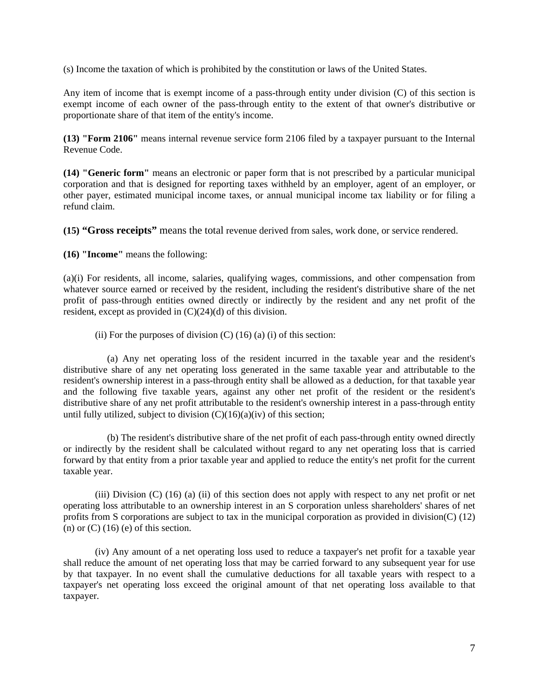(s) Income the taxation of which is prohibited by the constitution or laws of the United States.

Any item of income that is exempt income of a pass-through entity under division (C) of this section is exempt income of each owner of the pass-through entity to the extent of that owner's distributive or proportionate share of that item of the entity's income.

**(13) "Form 2106"** means internal revenue service form 2106 filed by a taxpayer pursuant to the Internal Revenue Code.

**(14) "Generic form"** means an electronic or paper form that is not prescribed by a particular municipal corporation and that is designed for reporting taxes withheld by an employer, agent of an employer, or other payer, estimated municipal income taxes, or annual municipal income tax liability or for filing a refund claim.

**(15) "Gross receipts"** means the total revenue derived from sales, work done, or service rendered.

**(16) "Income"** means the following:

(a)(i) For residents, all income, salaries, qualifying wages, commissions, and other compensation from whatever source earned or received by the resident, including the resident's distributive share of the net profit of pass-through entities owned directly or indirectly by the resident and any net profit of the resident, except as provided in (C)(24)(d) of this division.

(ii) For the purposes of division  $(C)$  (16) (a) (i) of this section:

 (a) Any net operating loss of the resident incurred in the taxable year and the resident's distributive share of any net operating loss generated in the same taxable year and attributable to the resident's ownership interest in a pass-through entity shall be allowed as a deduction, for that taxable year and the following five taxable years, against any other net profit of the resident or the resident's distributive share of any net profit attributable to the resident's ownership interest in a pass-through entity until fully utilized, subject to division  $(C)(16)(a)(iv)$  of this section;

 (b) The resident's distributive share of the net profit of each pass-through entity owned directly or indirectly by the resident shall be calculated without regard to any net operating loss that is carried forward by that entity from a prior taxable year and applied to reduce the entity's net profit for the current taxable year.

(iii) Division (C) (16) (a) (ii) of this section does not apply with respect to any net profit or net operating loss attributable to an ownership interest in an S corporation unless shareholders' shares of net profits from S corporations are subject to tax in the municipal corporation as provided in division(C) (12) (n) or  $(C)$  (16) (e) of this section.

(iv) Any amount of a net operating loss used to reduce a taxpayer's net profit for a taxable year shall reduce the amount of net operating loss that may be carried forward to any subsequent year for use by that taxpayer. In no event shall the cumulative deductions for all taxable years with respect to a taxpayer's net operating loss exceed the original amount of that net operating loss available to that taxpayer.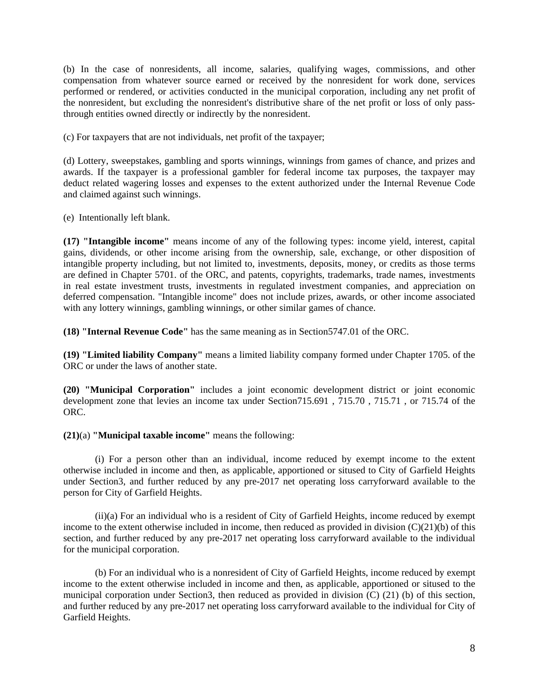(b) In the case of nonresidents, all income, salaries, qualifying wages, commissions, and other compensation from whatever source earned or received by the nonresident for work done, services performed or rendered, or activities conducted in the municipal corporation, including any net profit of the nonresident, but excluding the nonresident's distributive share of the net profit or loss of only passthrough entities owned directly or indirectly by the nonresident.

(c) For taxpayers that are not individuals, net profit of the taxpayer;

(d) Lottery, sweepstakes, gambling and sports winnings, winnings from games of chance, and prizes and awards. If the taxpayer is a professional gambler for federal income tax purposes, the taxpayer may deduct related wagering losses and expenses to the extent authorized under the Internal Revenue Code and claimed against such winnings.

(e) Intentionally left blank.

**(17) "Intangible income"** means income of any of the following types: income yield, interest, capital gains, dividends, or other income arising from the ownership, sale, exchange, or other disposition of intangible property including, but not limited to, investments, deposits, money, or credits as those terms are defined in Chapter 5701. of the ORC, and patents, copyrights, trademarks, trade names, investments in real estate investment trusts, investments in regulated investment companies, and appreciation on deferred compensation. "Intangible income" does not include prizes, awards, or other income associated with any lottery winnings, gambling winnings, or other similar games of chance.

**(18) "Internal Revenue Code"** has the same meaning as in Section5747.01 of the ORC.

**(19) "Limited liability Company"** means a limited liability company formed under Chapter 1705. of the ORC or under the laws of another state.

**(20) "Municipal Corporation"** includes a joint economic development district or joint economic development zone that levies an income tax under Section715.691 , 715.70 , 715.71 , or 715.74 of the ORC.

**(21)**(a) **"Municipal taxable income"** means the following:

(i) For a person other than an individual, income reduced by exempt income to the extent otherwise included in income and then, as applicable, apportioned or sitused to City of Garfield Heights under Section3, and further reduced by any pre-2017 net operating loss carryforward available to the person for City of Garfield Heights.

(ii)(a) For an individual who is a resident of City of Garfield Heights, income reduced by exempt income to the extent otherwise included in income, then reduced as provided in division (C)(21)(b) of this section, and further reduced by any pre-2017 net operating loss carryforward available to the individual for the municipal corporation.

(b) For an individual who is a nonresident of City of Garfield Heights, income reduced by exempt income to the extent otherwise included in income and then, as applicable, apportioned or sitused to the municipal corporation under Section3, then reduced as provided in division (C) (21) (b) of this section, and further reduced by any pre-2017 net operating loss carryforward available to the individual for City of Garfield Heights.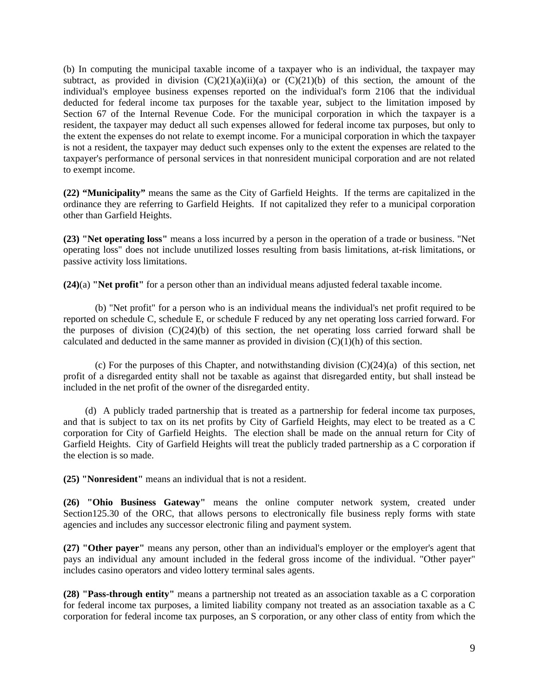(b) In computing the municipal taxable income of a taxpayer who is an individual, the taxpayer may subtract, as provided in division  $(C)(21)(a)(ii)(a)$  or  $(C)(21)(b)$  of this section, the amount of the individual's employee business expenses reported on the individual's form 2106 that the individual deducted for federal income tax purposes for the taxable year, subject to the limitation imposed by Section 67 of the Internal Revenue Code. For the municipal corporation in which the taxpayer is a resident, the taxpayer may deduct all such expenses allowed for federal income tax purposes, but only to the extent the expenses do not relate to exempt income. For a municipal corporation in which the taxpayer is not a resident, the taxpayer may deduct such expenses only to the extent the expenses are related to the taxpayer's performance of personal services in that nonresident municipal corporation and are not related to exempt income.

**(22) "Municipality"** means the same as the City of Garfield Heights. If the terms are capitalized in the ordinance they are referring to Garfield Heights. If not capitalized they refer to a municipal corporation other than Garfield Heights.

**(23) "Net operating loss"** means a loss incurred by a person in the operation of a trade or business. "Net operating loss" does not include unutilized losses resulting from basis limitations, at-risk limitations, or passive activity loss limitations.

**(24)**(a) **"Net profit"** for a person other than an individual means adjusted federal taxable income.

(b) "Net profit" for a person who is an individual means the individual's net profit required to be reported on schedule C, schedule E, or schedule F reduced by any net operating loss carried forward. For the purposes of division (C)(24)(b) of this section, the net operating loss carried forward shall be calculated and deducted in the same manner as provided in division  $(C)(1)(h)$  of this section.

(c) For the purposes of this Chapter, and notwithstanding division  $(C)(24)(a)$  of this section, net profit of a disregarded entity shall not be taxable as against that disregarded entity, but shall instead be included in the net profit of the owner of the disregarded entity.

 (d) A publicly traded partnership that is treated as a partnership for federal income tax purposes, and that is subject to tax on its net profits by City of Garfield Heights, may elect to be treated as a C corporation for City of Garfield Heights. The election shall be made on the annual return for City of Garfield Heights. City of Garfield Heights will treat the publicly traded partnership as a C corporation if the election is so made.

**(25) "Nonresident"** means an individual that is not a resident.

**(26) "Ohio Business Gateway"** means the online computer network system, created under Section125.30 of the ORC, that allows persons to electronically file business reply forms with state agencies and includes any successor electronic filing and payment system.

**(27) "Other payer"** means any person, other than an individual's employer or the employer's agent that pays an individual any amount included in the federal gross income of the individual. "Other payer" includes casino operators and video lottery terminal sales agents.

**(28) "Pass-through entity"** means a partnership not treated as an association taxable as a C corporation for federal income tax purposes, a limited liability company not treated as an association taxable as a C corporation for federal income tax purposes, an S corporation, or any other class of entity from which the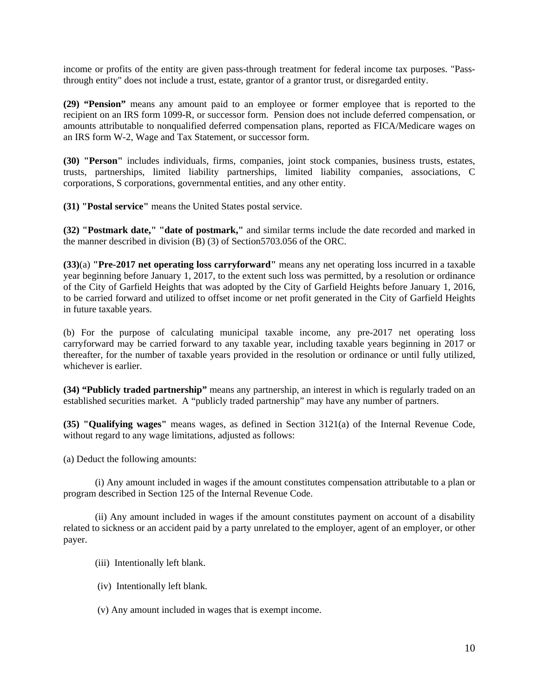income or profits of the entity are given pass-through treatment for federal income tax purposes. "Passthrough entity" does not include a trust, estate, grantor of a grantor trust, or disregarded entity.

**(29) "Pension"** means any amount paid to an employee or former employee that is reported to the recipient on an IRS form 1099-R, or successor form. Pension does not include deferred compensation, or amounts attributable to nonqualified deferred compensation plans, reported as FICA/Medicare wages on an IRS form W-2, Wage and Tax Statement, or successor form.

**(30) "Person"** includes individuals, firms, companies, joint stock companies, business trusts, estates, trusts, partnerships, limited liability partnerships, limited liability companies, associations, C corporations, S corporations, governmental entities, and any other entity.

**(31) "Postal service"** means the United States postal service.

**(32) "Postmark date," "date of postmark,"** and similar terms include the date recorded and marked in the manner described in division (B) (3) of Section5703.056 of the ORC.

**(33)**(a) **"Pre-2017 net operating loss carryforward"** means any net operating loss incurred in a taxable year beginning before January 1, 2017, to the extent such loss was permitted, by a resolution or ordinance of the City of Garfield Heights that was adopted by the City of Garfield Heights before January 1, 2016, to be carried forward and utilized to offset income or net profit generated in the City of Garfield Heights in future taxable years.

(b) For the purpose of calculating municipal taxable income, any pre-2017 net operating loss carryforward may be carried forward to any taxable year, including taxable years beginning in 2017 or thereafter, for the number of taxable years provided in the resolution or ordinance or until fully utilized, whichever is earlier.

**(34) "Publicly traded partnership"** means any partnership, an interest in which is regularly traded on an established securities market. A "publicly traded partnership" may have any number of partners.

**(35) "Qualifying wages"** means wages, as defined in Section 3121(a) of the Internal Revenue Code, without regard to any wage limitations, adjusted as follows:

(a) Deduct the following amounts:

(i) Any amount included in wages if the amount constitutes compensation attributable to a plan or program described in Section 125 of the Internal Revenue Code.

(ii) Any amount included in wages if the amount constitutes payment on account of a disability related to sickness or an accident paid by a party unrelated to the employer, agent of an employer, or other payer.

- (iii) Intentionally left blank.
- (iv) Intentionally left blank.
- (v) Any amount included in wages that is exempt income.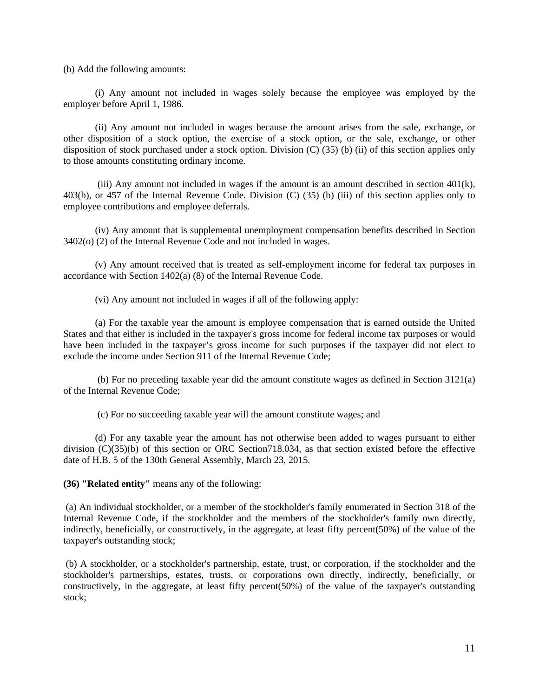(b) Add the following amounts:

(i) Any amount not included in wages solely because the employee was employed by the employer before April 1, 1986.

(ii) Any amount not included in wages because the amount arises from the sale, exchange, or other disposition of a stock option, the exercise of a stock option, or the sale, exchange, or other disposition of stock purchased under a stock option. Division (C) (35) (b) (ii) of this section applies only to those amounts constituting ordinary income.

(iii) Any amount not included in wages if the amount is an amount described in section  $401(k)$ , 403(b), or 457 of the Internal Revenue Code. Division (C) (35) (b) (iii) of this section applies only to employee contributions and employee deferrals.

(iv) Any amount that is supplemental unemployment compensation benefits described in Section 3402(o) (2) of the Internal Revenue Code and not included in wages.

(v) Any amount received that is treated as self-employment income for federal tax purposes in accordance with Section 1402(a) (8) of the Internal Revenue Code.

(vi) Any amount not included in wages if all of the following apply:

(a) For the taxable year the amount is employee compensation that is earned outside the United States and that either is included in the taxpayer's gross income for federal income tax purposes or would have been included in the taxpayer's gross income for such purposes if the taxpayer did not elect to exclude the income under Section 911 of the Internal Revenue Code;

 (b) For no preceding taxable year did the amount constitute wages as defined in Section 3121(a) of the Internal Revenue Code;

(c) For no succeeding taxable year will the amount constitute wages; and

(d) For any taxable year the amount has not otherwise been added to wages pursuant to either division (C)(35)(b) of this section or ORC Section718.034, as that section existed before the effective date of H.B. 5 of the 130th General Assembly, March 23, 2015.

**(36) "Related entity"** means any of the following:

 (a) An individual stockholder, or a member of the stockholder's family enumerated in Section 318 of the Internal Revenue Code, if the stockholder and the members of the stockholder's family own directly, indirectly, beneficially, or constructively, in the aggregate, at least fifty percent(50%) of the value of the taxpayer's outstanding stock;

 (b) A stockholder, or a stockholder's partnership, estate, trust, or corporation, if the stockholder and the stockholder's partnerships, estates, trusts, or corporations own directly, indirectly, beneficially, or constructively, in the aggregate, at least fifty percent(50%) of the value of the taxpayer's outstanding stock;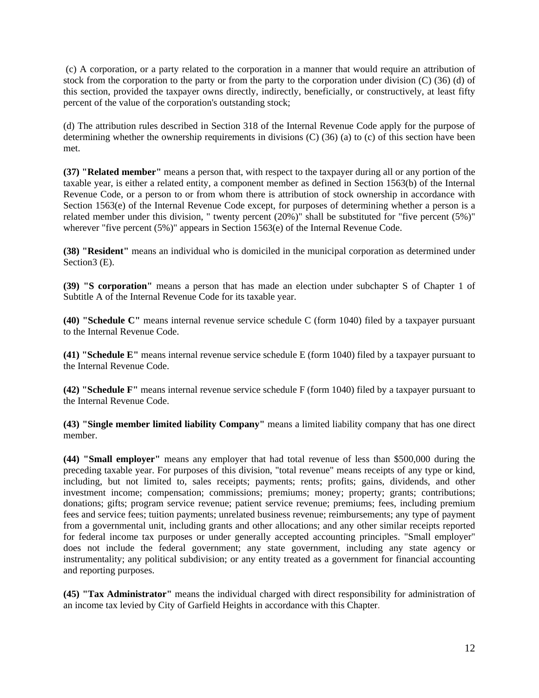(c) A corporation, or a party related to the corporation in a manner that would require an attribution of stock from the corporation to the party or from the party to the corporation under division (C) (36) (d) of this section, provided the taxpayer owns directly, indirectly, beneficially, or constructively, at least fifty percent of the value of the corporation's outstanding stock;

(d) The attribution rules described in Section 318 of the Internal Revenue Code apply for the purpose of determining whether the ownership requirements in divisions (C) (36) (a) to (c) of this section have been met.

**(37) "Related member"** means a person that, with respect to the taxpayer during all or any portion of the taxable year, is either a related entity, a component member as defined in Section 1563(b) of the Internal Revenue Code, or a person to or from whom there is attribution of stock ownership in accordance with Section 1563(e) of the Internal Revenue Code except, for purposes of determining whether a person is a related member under this division, " twenty percent (20%)" shall be substituted for "five percent (5%)" wherever "five percent (5%)" appears in Section 1563(e) of the Internal Revenue Code.

**(38) "Resident"** means an individual who is domiciled in the municipal corporation as determined under Section3 (E).

**(39) "S corporation"** means a person that has made an election under subchapter S of Chapter 1 of Subtitle A of the Internal Revenue Code for its taxable year.

**(40) "Schedule C"** means internal revenue service schedule C (form 1040) filed by a taxpayer pursuant to the Internal Revenue Code.

**(41) "Schedule E"** means internal revenue service schedule E (form 1040) filed by a taxpayer pursuant to the Internal Revenue Code.

**(42) "Schedule F"** means internal revenue service schedule F (form 1040) filed by a taxpayer pursuant to the Internal Revenue Code.

**(43) "Single member limited liability Company"** means a limited liability company that has one direct member.

**(44) "Small employer"** means any employer that had total revenue of less than \$500,000 during the preceding taxable year. For purposes of this division, "total revenue" means receipts of any type or kind, including, but not limited to, sales receipts; payments; rents; profits; gains, dividends, and other investment income; compensation; commissions; premiums; money; property; grants; contributions; donations; gifts; program service revenue; patient service revenue; premiums; fees, including premium fees and service fees; tuition payments; unrelated business revenue; reimbursements; any type of payment from a governmental unit, including grants and other allocations; and any other similar receipts reported for federal income tax purposes or under generally accepted accounting principles. "Small employer" does not include the federal government; any state government, including any state agency or instrumentality; any political subdivision; or any entity treated as a government for financial accounting and reporting purposes.

**(45) "Tax Administrator"** means the individual charged with direct responsibility for administration of an income tax levied by City of Garfield Heights in accordance with this Chapter.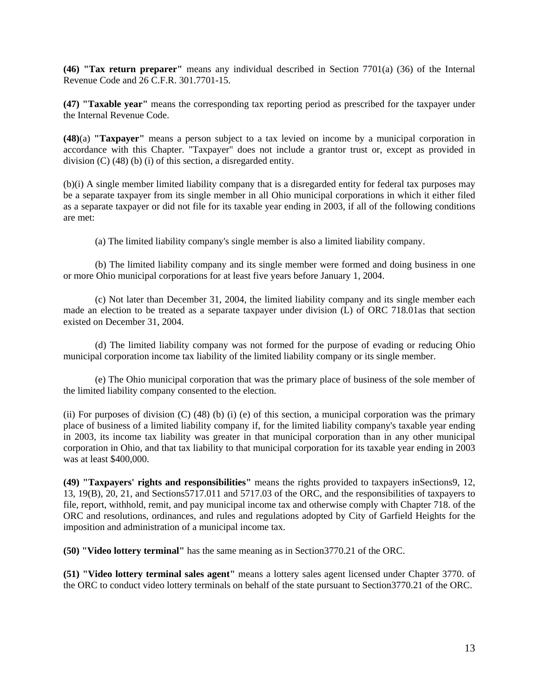**(46) "Tax return preparer"** means any individual described in Section 7701(a) (36) of the Internal Revenue Code and 26 C.F.R. 301.7701-15.

**(47) "Taxable year"** means the corresponding tax reporting period as prescribed for the taxpayer under the Internal Revenue Code.

**(48)**(a) **"Taxpayer"** means a person subject to a tax levied on income by a municipal corporation in accordance with this Chapter. "Taxpayer" does not include a grantor trust or, except as provided in division (C) (48) (b) (i) of this section, a disregarded entity.

(b)(i) A single member limited liability company that is a disregarded entity for federal tax purposes may be a separate taxpayer from its single member in all Ohio municipal corporations in which it either filed as a separate taxpayer or did not file for its taxable year ending in 2003, if all of the following conditions are met:

(a) The limited liability company's single member is also a limited liability company.

(b) The limited liability company and its single member were formed and doing business in one or more Ohio municipal corporations for at least five years before January 1, 2004.

(c) Not later than December 31, 2004, the limited liability company and its single member each made an election to be treated as a separate taxpayer under division (L) of ORC 718.01as that section existed on December 31, 2004.

(d) The limited liability company was not formed for the purpose of evading or reducing Ohio municipal corporation income tax liability of the limited liability company or its single member.

(e) The Ohio municipal corporation that was the primary place of business of the sole member of the limited liability company consented to the election.

(ii) For purposes of division (C) (48) (b) (i) (e) of this section, a municipal corporation was the primary place of business of a limited liability company if, for the limited liability company's taxable year ending in 2003, its income tax liability was greater in that municipal corporation than in any other municipal corporation in Ohio, and that tax liability to that municipal corporation for its taxable year ending in 2003 was at least \$400,000.

**(49) "Taxpayers' rights and responsibilities"** means the rights provided to taxpayers inSections9, 12, 13, 19(B), 20, 21, and Sections5717.011 and 5717.03 of the ORC, and the responsibilities of taxpayers to file, report, withhold, remit, and pay municipal income tax and otherwise comply with Chapter 718. of the ORC and resolutions, ordinances, and rules and regulations adopted by City of Garfield Heights for the imposition and administration of a municipal income tax.

**(50) "Video lottery terminal"** has the same meaning as in Section3770.21 of the ORC.

**(51) "Video lottery terminal sales agent"** means a lottery sales agent licensed under Chapter 3770. of the ORC to conduct video lottery terminals on behalf of the state pursuant to Section3770.21 of the ORC.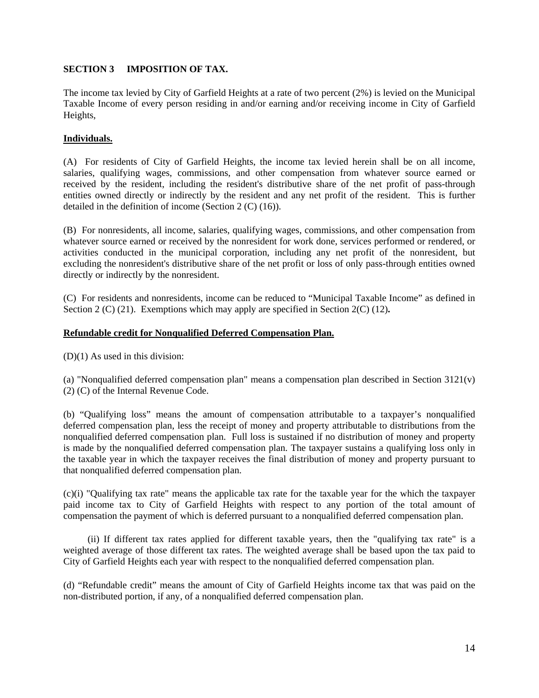#### **SECTION 3 IMPOSITION OF TAX.**

The income tax levied by City of Garfield Heights at a rate of two percent (2%) is levied on the Municipal Taxable Income of every person residing in and/or earning and/or receiving income in City of Garfield Heights,

#### **Individuals.**

(A) For residents of City of Garfield Heights, the income tax levied herein shall be on all income, salaries, qualifying wages, commissions, and other compensation from whatever source earned or received by the resident, including the resident's distributive share of the net profit of pass-through entities owned directly or indirectly by the resident and any net profit of the resident. This is further detailed in the definition of income (Section 2 (C) (16)).

(B) For nonresidents, all income, salaries, qualifying wages, commissions, and other compensation from whatever source earned or received by the nonresident for work done, services performed or rendered, or activities conducted in the municipal corporation, including any net profit of the nonresident, but excluding the nonresident's distributive share of the net profit or loss of only pass-through entities owned directly or indirectly by the nonresident.

(C) For residents and nonresidents, income can be reduced to "Municipal Taxable Income" as defined in Section 2 (C) (21). Exemptions which may apply are specified in Section 2(C) (12)**.** 

#### **Refundable credit for Nonqualified Deferred Compensation Plan.**

(D)(1) As used in this division:

(a) "Nonqualified deferred compensation plan" means a compensation plan described in Section 3121(v) (2) (C) of the Internal Revenue Code.

(b) "Qualifying loss" means the amount of compensation attributable to a taxpayer's nonqualified deferred compensation plan, less the receipt of money and property attributable to distributions from the nonqualified deferred compensation plan. Full loss is sustained if no distribution of money and property is made by the nonqualified deferred compensation plan. The taxpayer sustains a qualifying loss only in the taxable year in which the taxpayer receives the final distribution of money and property pursuant to that nonqualified deferred compensation plan.

(c)(i) "Qualifying tax rate" means the applicable tax rate for the taxable year for the which the taxpayer paid income tax to City of Garfield Heights with respect to any portion of the total amount of compensation the payment of which is deferred pursuant to a nonqualified deferred compensation plan.

 (ii) If different tax rates applied for different taxable years, then the "qualifying tax rate" is a weighted average of those different tax rates. The weighted average shall be based upon the tax paid to City of Garfield Heights each year with respect to the nonqualified deferred compensation plan.

(d) "Refundable credit" means the amount of City of Garfield Heights income tax that was paid on the non-distributed portion, if any, of a nonqualified deferred compensation plan.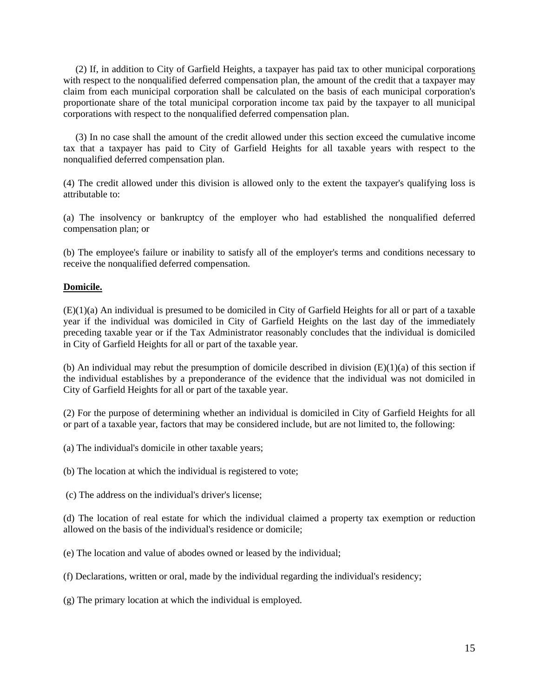(2) If, in addition to City of Garfield Heights, a taxpayer has paid tax to other municipal corporations with respect to the nonqualified deferred compensation plan, the amount of the credit that a taxpayer may claim from each municipal corporation shall be calculated on the basis of each municipal corporation's proportionate share of the total municipal corporation income tax paid by the taxpayer to all municipal corporations with respect to the nonqualified deferred compensation plan.

 (3) In no case shall the amount of the credit allowed under this section exceed the cumulative income tax that a taxpayer has paid to City of Garfield Heights for all taxable years with respect to the nonqualified deferred compensation plan.

(4) The credit allowed under this division is allowed only to the extent the taxpayer's qualifying loss is attributable to:

(a) The insolvency or bankruptcy of the employer who had established the nonqualified deferred compensation plan; or

(b) The employee's failure or inability to satisfy all of the employer's terms and conditions necessary to receive the nonqualified deferred compensation.

#### **Domicile.**

(E)(1)(a) An individual is presumed to be domiciled in City of Garfield Heights for all or part of a taxable year if the individual was domiciled in City of Garfield Heights on the last day of the immediately preceding taxable year or if the Tax Administrator reasonably concludes that the individual is domiciled in City of Garfield Heights for all or part of the taxable year.

(b) An individual may rebut the presumption of domicile described in division  $(E)(1)(a)$  of this section if the individual establishes by a preponderance of the evidence that the individual was not domiciled in City of Garfield Heights for all or part of the taxable year.

(2) For the purpose of determining whether an individual is domiciled in City of Garfield Heights for all or part of a taxable year, factors that may be considered include, but are not limited to, the following:

(a) The individual's domicile in other taxable years;

(b) The location at which the individual is registered to vote;

(c) The address on the individual's driver's license;

(d) The location of real estate for which the individual claimed a property tax exemption or reduction allowed on the basis of the individual's residence or domicile;

(e) The location and value of abodes owned or leased by the individual;

(f) Declarations, written or oral, made by the individual regarding the individual's residency;

(g) The primary location at which the individual is employed.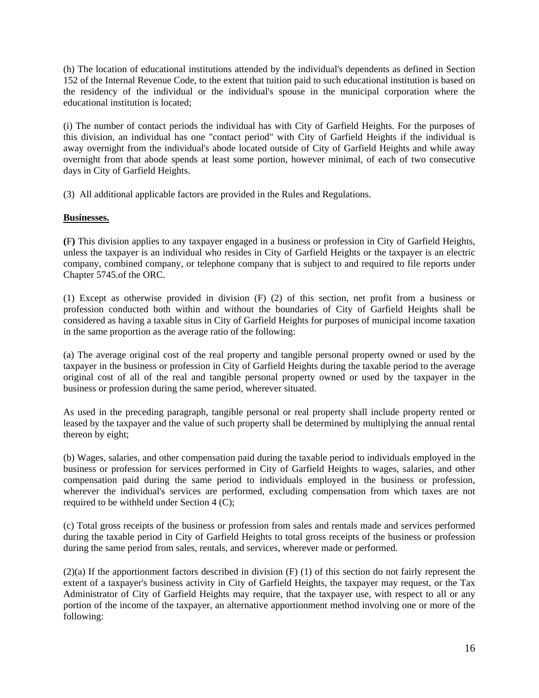(h) The location of educational institutions attended by the individual's dependents as defined in Section 152 of the Internal Revenue Code, to the extent that tuition paid to such educational institution is based on the residency of the individual or the individual's spouse in the municipal corporation where the educational institution is located;

(i) The number of contact periods the individual has with City of Garfield Heights. For the purposes of this division, an individual has one "contact period" with City of Garfield Heights if the individual is away overnight from the individual's abode located outside of City of Garfield Heights and while away overnight from that abode spends at least some portion, however minimal, of each of two consecutive days in City of Garfield Heights.

(3) All additional applicable factors are provided in the Rules and Regulations.

#### **Businesses.**

**(**F**)** This division applies to any taxpayer engaged in a business or profession in City of Garfield Heights, unless the taxpayer is an individual who resides in City of Garfield Heights or the taxpayer is an electric company, combined company, or telephone company that is subject to and required to file reports under Chapter 5745.of the ORC.

(1) Except as otherwise provided in division (F) (2) of this section, net profit from a business or profession conducted both within and without the boundaries of City of Garfield Heights shall be considered as having a taxable situs in City of Garfield Heights for purposes of municipal income taxation in the same proportion as the average ratio of the following:

(a) The average original cost of the real property and tangible personal property owned or used by the taxpayer in the business or profession in City of Garfield Heights during the taxable period to the average original cost of all of the real and tangible personal property owned or used by the taxpayer in the business or profession during the same period, wherever situated.

As used in the preceding paragraph, tangible personal or real property shall include property rented or leased by the taxpayer and the value of such property shall be determined by multiplying the annual rental thereon by eight;

(b) Wages, salaries, and other compensation paid during the taxable period to individuals employed in the business or profession for services performed in City of Garfield Heights to wages, salaries, and other compensation paid during the same period to individuals employed in the business or profession, wherever the individual's services are performed, excluding compensation from which taxes are not required to be withheld under Section 4 (C);

(c) Total gross receipts of the business or profession from sales and rentals made and services performed during the taxable period in City of Garfield Heights to total gross receipts of the business or profession during the same period from sales, rentals, and services, wherever made or performed.

(2)(a) If the apportionment factors described in division (F) (1) of this section do not fairly represent the extent of a taxpayer's business activity in City of Garfield Heights, the taxpayer may request, or the Tax Administrator of City of Garfield Heights may require, that the taxpayer use, with respect to all or any portion of the income of the taxpayer, an alternative apportionment method involving one or more of the following: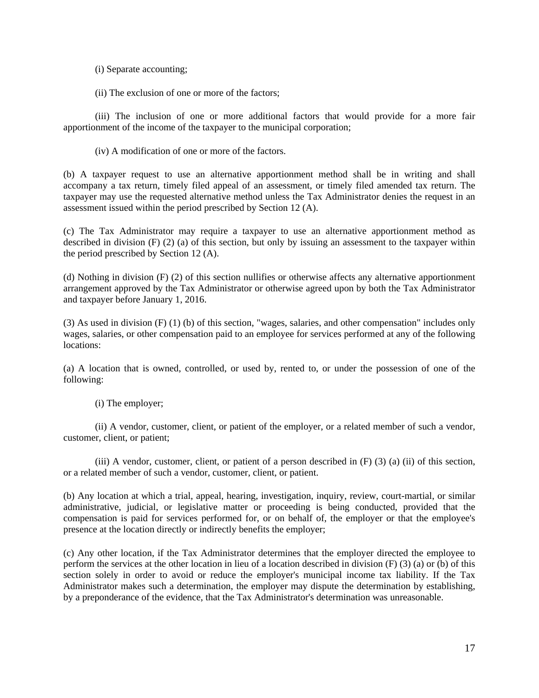(i) Separate accounting;

(ii) The exclusion of one or more of the factors;

(iii) The inclusion of one or more additional factors that would provide for a more fair apportionment of the income of the taxpayer to the municipal corporation;

(iv) A modification of one or more of the factors.

(b) A taxpayer request to use an alternative apportionment method shall be in writing and shall accompany a tax return, timely filed appeal of an assessment, or timely filed amended tax return. The taxpayer may use the requested alternative method unless the Tax Administrator denies the request in an assessment issued within the period prescribed by Section 12 (A).

(c) The Tax Administrator may require a taxpayer to use an alternative apportionment method as described in division (F) (2) (a) of this section, but only by issuing an assessment to the taxpayer within the period prescribed by Section 12 (A).

(d) Nothing in division (F) (2) of this section nullifies or otherwise affects any alternative apportionment arrangement approved by the Tax Administrator or otherwise agreed upon by both the Tax Administrator and taxpayer before January 1, 2016.

(3) As used in division (F) (1) (b) of this section, "wages, salaries, and other compensation" includes only wages, salaries, or other compensation paid to an employee for services performed at any of the following locations:

(a) A location that is owned, controlled, or used by, rented to, or under the possession of one of the following:

(i) The employer;

(ii) A vendor, customer, client, or patient of the employer, or a related member of such a vendor, customer, client, or patient;

(iii) A vendor, customer, client, or patient of a person described in (F) (3) (a) (ii) of this section, or a related member of such a vendor, customer, client, or patient.

(b) Any location at which a trial, appeal, hearing, investigation, inquiry, review, court-martial, or similar administrative, judicial, or legislative matter or proceeding is being conducted, provided that the compensation is paid for services performed for, or on behalf of, the employer or that the employee's presence at the location directly or indirectly benefits the employer;

(c) Any other location, if the Tax Administrator determines that the employer directed the employee to perform the services at the other location in lieu of a location described in division (F) (3) (a) or (b) of this section solely in order to avoid or reduce the employer's municipal income tax liability. If the Tax Administrator makes such a determination, the employer may dispute the determination by establishing, by a preponderance of the evidence, that the Tax Administrator's determination was unreasonable.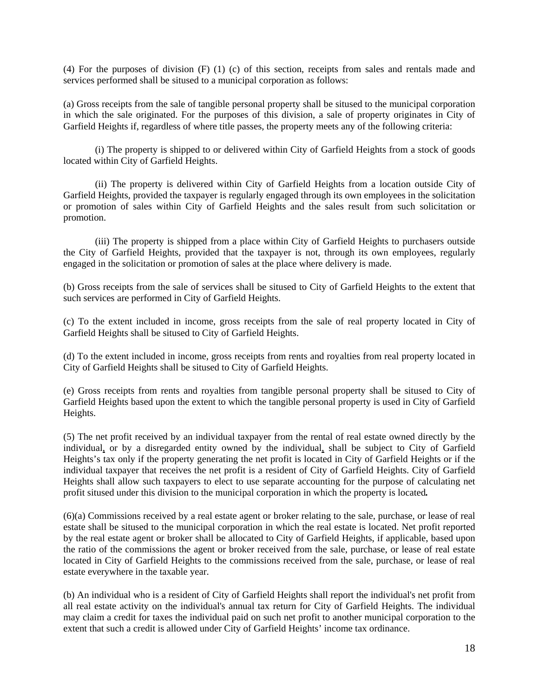(4) For the purposes of division (F) (1) (c) of this section, receipts from sales and rentals made and services performed shall be sitused to a municipal corporation as follows:

(a) Gross receipts from the sale of tangible personal property shall be sitused to the municipal corporation in which the sale originated. For the purposes of this division, a sale of property originates in City of Garfield Heights if, regardless of where title passes, the property meets any of the following criteria:

(i) The property is shipped to or delivered within City of Garfield Heights from a stock of goods located within City of Garfield Heights.

(ii) The property is delivered within City of Garfield Heights from a location outside City of Garfield Heights, provided the taxpayer is regularly engaged through its own employees in the solicitation or promotion of sales within City of Garfield Heights and the sales result from such solicitation or promotion.

(iii) The property is shipped from a place within City of Garfield Heights to purchasers outside the City of Garfield Heights, provided that the taxpayer is not, through its own employees, regularly engaged in the solicitation or promotion of sales at the place where delivery is made.

(b) Gross receipts from the sale of services shall be sitused to City of Garfield Heights to the extent that such services are performed in City of Garfield Heights.

(c) To the extent included in income, gross receipts from the sale of real property located in City of Garfield Heights shall be sitused to City of Garfield Heights.

(d) To the extent included in income, gross receipts from rents and royalties from real property located in City of Garfield Heights shall be sitused to City of Garfield Heights.

(e) Gross receipts from rents and royalties from tangible personal property shall be sitused to City of Garfield Heights based upon the extent to which the tangible personal property is used in City of Garfield Heights.

(5) The net profit received by an individual taxpayer from the rental of real estate owned directly by the individual, or by a disregarded entity owned by the individual, shall be subject to City of Garfield Heights's tax only if the property generating the net profit is located in City of Garfield Heights or if the individual taxpayer that receives the net profit is a resident of City of Garfield Heights. City of Garfield Heights shall allow such taxpayers to elect to use separate accounting for the purpose of calculating net profit sitused under this division to the municipal corporation in which the property is located*.* 

(6)(a) Commissions received by a real estate agent or broker relating to the sale, purchase, or lease of real estate shall be sitused to the municipal corporation in which the real estate is located. Net profit reported by the real estate agent or broker shall be allocated to City of Garfield Heights, if applicable, based upon the ratio of the commissions the agent or broker received from the sale, purchase, or lease of real estate located in City of Garfield Heights to the commissions received from the sale, purchase, or lease of real estate everywhere in the taxable year.

(b) An individual who is a resident of City of Garfield Heights shall report the individual's net profit from all real estate activity on the individual's annual tax return for City of Garfield Heights. The individual may claim a credit for taxes the individual paid on such net profit to another municipal corporation to the extent that such a credit is allowed under City of Garfield Heights' income tax ordinance.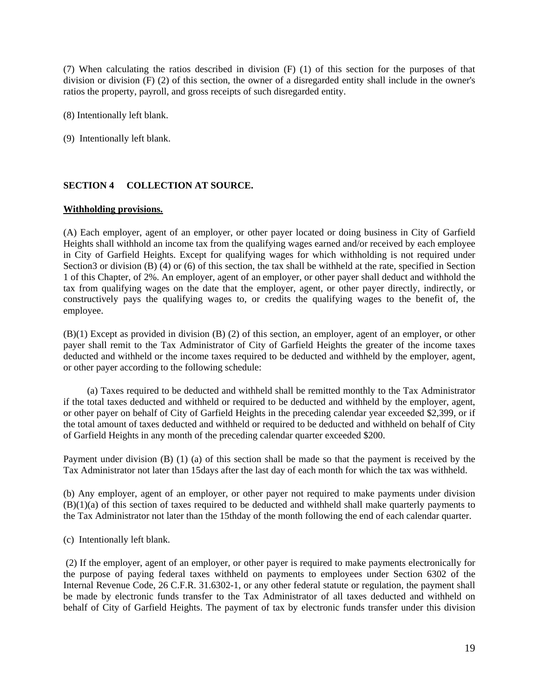(7) When calculating the ratios described in division (F) (1) of this section for the purposes of that division or division (F) (2) of this section, the owner of a disregarded entity shall include in the owner's ratios the property, payroll, and gross receipts of such disregarded entity.

(8) Intentionally left blank.

(9) Intentionally left blank.

#### **SECTION 4 COLLECTION AT SOURCE.**

#### **Withholding provisions.**

(A) Each employer, agent of an employer, or other payer located or doing business in City of Garfield Heights shall withhold an income tax from the qualifying wages earned and/or received by each employee in City of Garfield Heights. Except for qualifying wages for which withholding is not required under Section3 or division (B) (4) or (6) of this section, the tax shall be withheld at the rate, specified in Section 1 of this Chapter, of 2%. An employer, agent of an employer, or other payer shall deduct and withhold the tax from qualifying wages on the date that the employer, agent, or other payer directly, indirectly, or constructively pays the qualifying wages to, or credits the qualifying wages to the benefit of, the employee.

(B)(1) Except as provided in division (B) (2) of this section, an employer, agent of an employer, or other payer shall remit to the Tax Administrator of City of Garfield Heights the greater of the income taxes deducted and withheld or the income taxes required to be deducted and withheld by the employer, agent, or other payer according to the following schedule:

(a) Taxes required to be deducted and withheld shall be remitted monthly to the Tax Administrator if the total taxes deducted and withheld or required to be deducted and withheld by the employer, agent, or other payer on behalf of City of Garfield Heights in the preceding calendar year exceeded \$2,399, or if the total amount of taxes deducted and withheld or required to be deducted and withheld on behalf of City of Garfield Heights in any month of the preceding calendar quarter exceeded \$200.

Payment under division (B) (1) (a) of this section shall be made so that the payment is received by the Tax Administrator not later than 15days after the last day of each month for which the tax was withheld.

(b) Any employer, agent of an employer, or other payer not required to make payments under division (B)(1)(a) of this section of taxes required to be deducted and withheld shall make quarterly payments to the Tax Administrator not later than the 15thday of the month following the end of each calendar quarter.

(c) Intentionally left blank.

 (2) If the employer, agent of an employer, or other payer is required to make payments electronically for the purpose of paying federal taxes withheld on payments to employees under Section 6302 of the Internal Revenue Code, 26 C.F.R. 31.6302-1, or any other federal statute or regulation, the payment shall be made by electronic funds transfer to the Tax Administrator of all taxes deducted and withheld on behalf of City of Garfield Heights. The payment of tax by electronic funds transfer under this division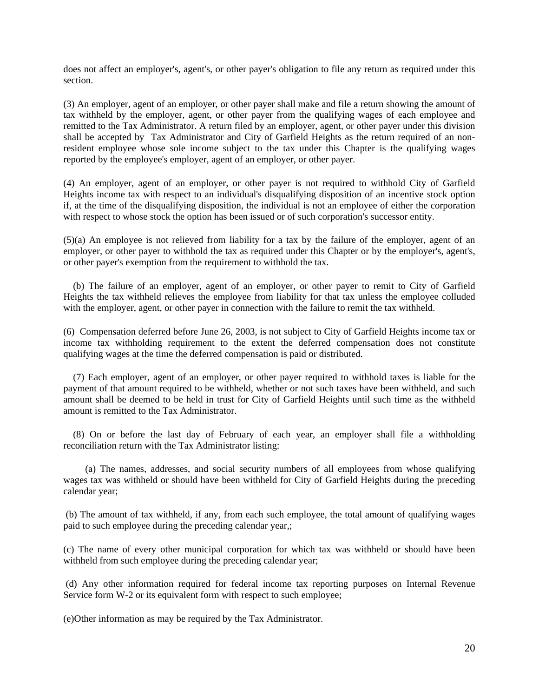does not affect an employer's, agent's, or other payer's obligation to file any return as required under this section.

(3) An employer, agent of an employer, or other payer shall make and file a return showing the amount of tax withheld by the employer, agent, or other payer from the qualifying wages of each employee and remitted to the Tax Administrator. A return filed by an employer, agent, or other payer under this division shall be accepted by Tax Administrator and City of Garfield Heights as the return required of an nonresident employee whose sole income subject to the tax under this Chapter is the qualifying wages reported by the employee's employer, agent of an employer, or other payer.

(4) An employer, agent of an employer, or other payer is not required to withhold City of Garfield Heights income tax with respect to an individual's disqualifying disposition of an incentive stock option if, at the time of the disqualifying disposition, the individual is not an employee of either the corporation with respect to whose stock the option has been issued or of such corporation's successor entity.

(5)(a) An employee is not relieved from liability for a tax by the failure of the employer, agent of an employer, or other payer to withhold the tax as required under this Chapter or by the employer's, agent's, or other payer's exemption from the requirement to withhold the tax.

 (b) The failure of an employer, agent of an employer, or other payer to remit to City of Garfield Heights the tax withheld relieves the employee from liability for that tax unless the employee colluded with the employer, agent, or other payer in connection with the failure to remit the tax withheld.

(6) Compensation deferred before June 26, 2003, is not subject to City of Garfield Heights income tax or income tax withholding requirement to the extent the deferred compensation does not constitute qualifying wages at the time the deferred compensation is paid or distributed.

 (7) Each employer, agent of an employer, or other payer required to withhold taxes is liable for the payment of that amount required to be withheld, whether or not such taxes have been withheld, and such amount shall be deemed to be held in trust for City of Garfield Heights until such time as the withheld amount is remitted to the Tax Administrator.

 (8) On or before the last day of February of each year, an employer shall file a withholding reconciliation return with the Tax Administrator listing:

 (a) The names, addresses, and social security numbers of all employees from whose qualifying wages tax was withheld or should have been withheld for City of Garfield Heights during the preceding calendar year;

 (b) The amount of tax withheld, if any, from each such employee, the total amount of qualifying wages paid to such employee during the preceding calendar year,;

(c) The name of every other municipal corporation for which tax was withheld or should have been withheld from such employee during the preceding calendar year;

 (d) Any other information required for federal income tax reporting purposes on Internal Revenue Service form W-2 or its equivalent form with respect to such employee;

(e)Other information as may be required by the Tax Administrator.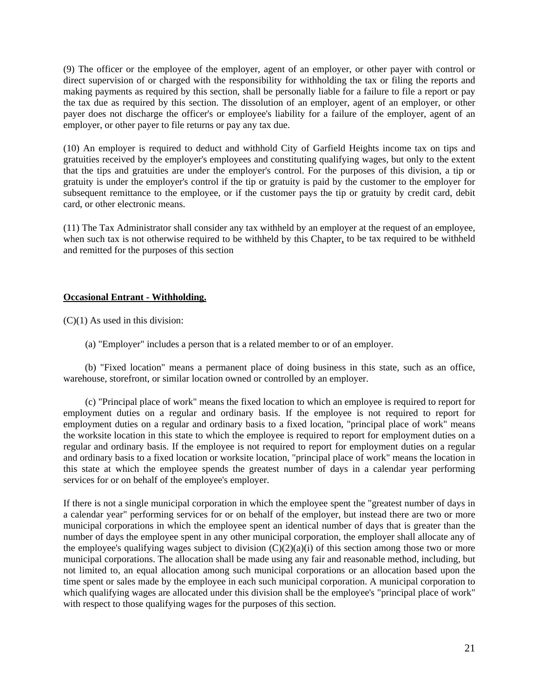(9) The officer or the employee of the employer, agent of an employer, or other payer with control or direct supervision of or charged with the responsibility for withholding the tax or filing the reports and making payments as required by this section, shall be personally liable for a failure to file a report or pay the tax due as required by this section. The dissolution of an employer, agent of an employer, or other payer does not discharge the officer's or employee's liability for a failure of the employer, agent of an employer, or other payer to file returns or pay any tax due.

(10) An employer is required to deduct and withhold City of Garfield Heights income tax on tips and gratuities received by the employer's employees and constituting qualifying wages, but only to the extent that the tips and gratuities are under the employer's control. For the purposes of this division, a tip or gratuity is under the employer's control if the tip or gratuity is paid by the customer to the employer for subsequent remittance to the employee, or if the customer pays the tip or gratuity by credit card, debit card, or other electronic means.

(11) The Tax Administrator shall consider any tax withheld by an employer at the request of an employee, when such tax is not otherwise required to be withheld by this Chapter, to be tax required to be withheld and remitted for the purposes of this section

#### **Occasional Entrant - Withholding.**

 $(C)(1)$  As used in this division:

(a) "Employer" includes a person that is a related member to or of an employer.

 (b) "Fixed location" means a permanent place of doing business in this state, such as an office, warehouse, storefront, or similar location owned or controlled by an employer.

 (c) "Principal place of work" means the fixed location to which an employee is required to report for employment duties on a regular and ordinary basis. If the employee is not required to report for employment duties on a regular and ordinary basis to a fixed location, "principal place of work" means the worksite location in this state to which the employee is required to report for employment duties on a regular and ordinary basis. If the employee is not required to report for employment duties on a regular and ordinary basis to a fixed location or worksite location, "principal place of work" means the location in this state at which the employee spends the greatest number of days in a calendar year performing services for or on behalf of the employee's employer.

If there is not a single municipal corporation in which the employee spent the "greatest number of days in a calendar year" performing services for or on behalf of the employer, but instead there are two or more municipal corporations in which the employee spent an identical number of days that is greater than the number of days the employee spent in any other municipal corporation, the employer shall allocate any of the employee's qualifying wages subject to division  $(C)(2)(a)(i)$  of this section among those two or more municipal corporations. The allocation shall be made using any fair and reasonable method, including, but not limited to, an equal allocation among such municipal corporations or an allocation based upon the time spent or sales made by the employee in each such municipal corporation. A municipal corporation to which qualifying wages are allocated under this division shall be the employee's "principal place of work" with respect to those qualifying wages for the purposes of this section.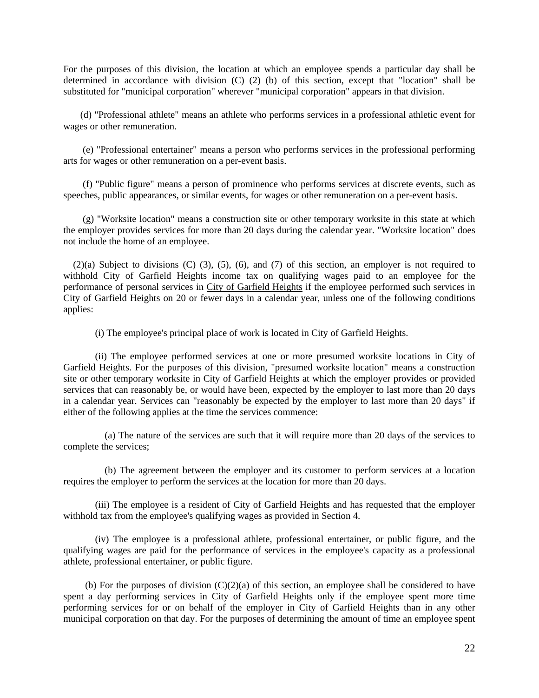For the purposes of this division, the location at which an employee spends a particular day shall be determined in accordance with division (C) (2) (b) of this section, except that "location" shall be substituted for "municipal corporation" wherever "municipal corporation" appears in that division.

 (d) "Professional athlete" means an athlete who performs services in a professional athletic event for wages or other remuneration.

 (e) "Professional entertainer" means a person who performs services in the professional performing arts for wages or other remuneration on a per-event basis.

 (f) "Public figure" means a person of prominence who performs services at discrete events, such as speeches, public appearances, or similar events, for wages or other remuneration on a per-event basis.

 (g) "Worksite location" means a construction site or other temporary worksite in this state at which the employer provides services for more than 20 days during the calendar year. "Worksite location" does not include the home of an employee.

 (2)(a) Subject to divisions (C) (3), (5), (6), and (7) of this section, an employer is not required to withhold City of Garfield Heights income tax on qualifying wages paid to an employee for the performance of personal services in City of Garfield Heights if the employee performed such services in City of Garfield Heights on 20 or fewer days in a calendar year, unless one of the following conditions applies:

(i) The employee's principal place of work is located in City of Garfield Heights.

(ii) The employee performed services at one or more presumed worksite locations in City of Garfield Heights. For the purposes of this division, "presumed worksite location" means a construction site or other temporary worksite in City of Garfield Heights at which the employer provides or provided services that can reasonably be, or would have been, expected by the employer to last more than 20 days in a calendar year. Services can "reasonably be expected by the employer to last more than 20 days" if either of the following applies at the time the services commence:

 (a) The nature of the services are such that it will require more than 20 days of the services to complete the services;

 (b) The agreement between the employer and its customer to perform services at a location requires the employer to perform the services at the location for more than 20 days.

(iii) The employee is a resident of City of Garfield Heights and has requested that the employer withhold tax from the employee's qualifying wages as provided in Section 4.

(iv) The employee is a professional athlete, professional entertainer, or public figure, and the qualifying wages are paid for the performance of services in the employee's capacity as a professional athlete, professional entertainer, or public figure.

(b) For the purposes of division  $(C)(2)(a)$  of this section, an employee shall be considered to have spent a day performing services in City of Garfield Heights only if the employee spent more time performing services for or on behalf of the employer in City of Garfield Heights than in any other municipal corporation on that day. For the purposes of determining the amount of time an employee spent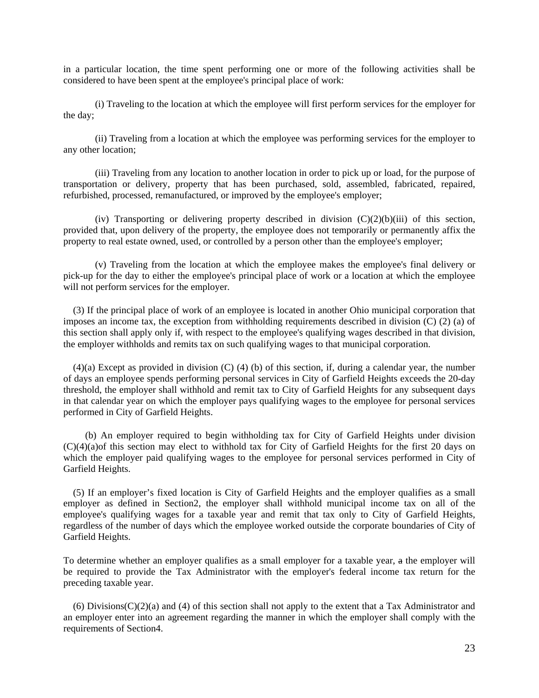in a particular location, the time spent performing one or more of the following activities shall be considered to have been spent at the employee's principal place of work:

(i) Traveling to the location at which the employee will first perform services for the employer for the day;

(ii) Traveling from a location at which the employee was performing services for the employer to any other location;

(iii) Traveling from any location to another location in order to pick up or load, for the purpose of transportation or delivery, property that has been purchased, sold, assembled, fabricated, repaired, refurbished, processed, remanufactured, or improved by the employee's employer;

(iv) Transporting or delivering property described in division  $(C)(2)(b)(iii)$  of this section, provided that, upon delivery of the property, the employee does not temporarily or permanently affix the property to real estate owned, used, or controlled by a person other than the employee's employer;

(v) Traveling from the location at which the employee makes the employee's final delivery or pick-up for the day to either the employee's principal place of work or a location at which the employee will not perform services for the employer.

 (3) If the principal place of work of an employee is located in another Ohio municipal corporation that imposes an income tax, the exception from withholding requirements described in division (C) (2) (a) of this section shall apply only if, with respect to the employee's qualifying wages described in that division, the employer withholds and remits tax on such qualifying wages to that municipal corporation.

 (4)(a) Except as provided in division (C) (4) (b) of this section, if, during a calendar year, the number of days an employee spends performing personal services in City of Garfield Heights exceeds the 20-day threshold, the employer shall withhold and remit tax to City of Garfield Heights for any subsequent days in that calendar year on which the employer pays qualifying wages to the employee for personal services performed in City of Garfield Heights.

 (b) An employer required to begin withholding tax for City of Garfield Heights under division (C)(4)(a)of this section may elect to withhold tax for City of Garfield Heights for the first 20 days on which the employer paid qualifying wages to the employee for personal services performed in City of Garfield Heights.

 (5) If an employer's fixed location is City of Garfield Heights and the employer qualifies as a small employer as defined in Section2, the employer shall withhold municipal income tax on all of the employee's qualifying wages for a taxable year and remit that tax only to City of Garfield Heights, regardless of the number of days which the employee worked outside the corporate boundaries of City of Garfield Heights.

To determine whether an employer qualifies as a small employer for a taxable year, a the employer will be required to provide the Tax Administrator with the employer's federal income tax return for the preceding taxable year.

(6) Divisions( $C(2)$ (a) and (4) of this section shall not apply to the extent that a Tax Administrator and an employer enter into an agreement regarding the manner in which the employer shall comply with the requirements of Section4.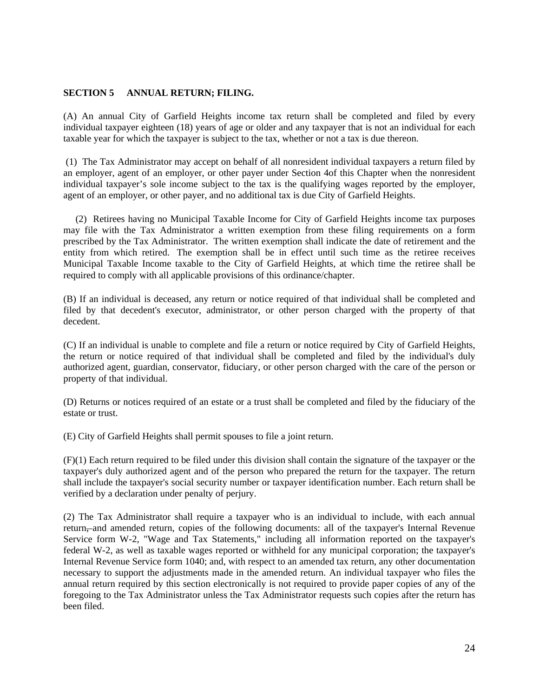#### **SECTION 5 ANNUAL RETURN; FILING.**

(A) An annual City of Garfield Heights income tax return shall be completed and filed by every individual taxpayer eighteen (18) years of age or older and any taxpayer that is not an individual for each taxable year for which the taxpayer is subject to the tax, whether or not a tax is due thereon.

 (1) The Tax Administrator may accept on behalf of all nonresident individual taxpayers a return filed by an employer, agent of an employer, or other payer under Section 4of this Chapter when the nonresident individual taxpayer's sole income subject to the tax is the qualifying wages reported by the employer, agent of an employer, or other payer, and no additional tax is due City of Garfield Heights.

 (2) Retirees having no Municipal Taxable Income for City of Garfield Heights income tax purposes may file with the Tax Administrator a written exemption from these filing requirements on a form prescribed by the Tax Administrator. The written exemption shall indicate the date of retirement and the entity from which retired. The exemption shall be in effect until such time as the retiree receives Municipal Taxable Income taxable to the City of Garfield Heights, at which time the retiree shall be required to comply with all applicable provisions of this ordinance/chapter.

(B) If an individual is deceased, any return or notice required of that individual shall be completed and filed by that decedent's executor, administrator, or other person charged with the property of that decedent.

(C) If an individual is unable to complete and file a return or notice required by City of Garfield Heights, the return or notice required of that individual shall be completed and filed by the individual's duly authorized agent, guardian, conservator, fiduciary, or other person charged with the care of the person or property of that individual.

(D) Returns or notices required of an estate or a trust shall be completed and filed by the fiduciary of the estate or trust.

(E) City of Garfield Heights shall permit spouses to file a joint return.

(F)(1) Each return required to be filed under this division shall contain the signature of the taxpayer or the taxpayer's duly authorized agent and of the person who prepared the return for the taxpayer. The return shall include the taxpayer's social security number or taxpayer identification number. Each return shall be verified by a declaration under penalty of perjury.

(2) The Tax Administrator shall require a taxpayer who is an individual to include, with each annual return, and amended return, copies of the following documents: all of the taxpayer's Internal Revenue Service form W-2, "Wage and Tax Statements," including all information reported on the taxpayer's federal W-2, as well as taxable wages reported or withheld for any municipal corporation; the taxpayer's Internal Revenue Service form 1040; and, with respect to an amended tax return, any other documentation necessary to support the adjustments made in the amended return. An individual taxpayer who files the annual return required by this section electronically is not required to provide paper copies of any of the foregoing to the Tax Administrator unless the Tax Administrator requests such copies after the return has been filed.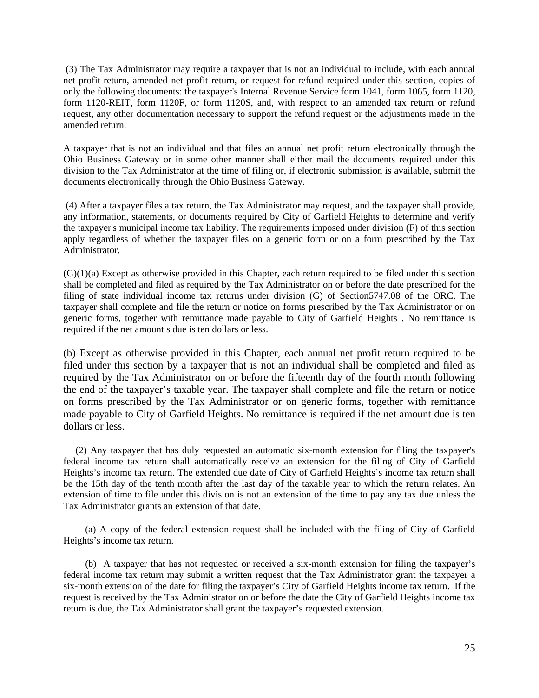(3) The Tax Administrator may require a taxpayer that is not an individual to include, with each annual net profit return, amended net profit return, or request for refund required under this section, copies of only the following documents: the taxpayer's Internal Revenue Service form 1041, form 1065, form 1120, form 1120-REIT, form 1120F, or form 1120S, and, with respect to an amended tax return or refund request, any other documentation necessary to support the refund request or the adjustments made in the amended return.

A taxpayer that is not an individual and that files an annual net profit return electronically through the Ohio Business Gateway or in some other manner shall either mail the documents required under this division to the Tax Administrator at the time of filing or, if electronic submission is available, submit the documents electronically through the Ohio Business Gateway.

 (4) After a taxpayer files a tax return, the Tax Administrator may request, and the taxpayer shall provide, any information, statements, or documents required by City of Garfield Heights to determine and verify the taxpayer's municipal income tax liability. The requirements imposed under division (F) of this section apply regardless of whether the taxpayer files on a generic form or on a form prescribed by the Tax Administrator.

(G)(1)(a) Except as otherwise provided in this Chapter, each return required to be filed under this section shall be completed and filed as required by the Tax Administrator on or before the date prescribed for the filing of state individual income tax returns under division (G) of Section5747.08 of the ORC. The taxpayer shall complete and file the return or notice on forms prescribed by the Tax Administrator or on generic forms, together with remittance made payable to City of Garfield Heights . No remittance is required if the net amount s due is ten dollars or less.

(b) Except as otherwise provided in this Chapter, each annual net profit return required to be filed under this section by a taxpayer that is not an individual shall be completed and filed as required by the Tax Administrator on or before the fifteenth day of the fourth month following the end of the taxpayer's taxable year. The taxpayer shall complete and file the return or notice on forms prescribed by the Tax Administrator or on generic forms, together with remittance made payable to City of Garfield Heights. No remittance is required if the net amount due is ten dollars or less.

 (2) Any taxpayer that has duly requested an automatic six-month extension for filing the taxpayer's federal income tax return shall automatically receive an extension for the filing of City of Garfield Heights's income tax return. The extended due date of City of Garfield Heights's income tax return shall be the 15th day of the tenth month after the last day of the taxable year to which the return relates. An extension of time to file under this division is not an extension of the time to pay any tax due unless the Tax Administrator grants an extension of that date.

 (a) A copy of the federal extension request shall be included with the filing of City of Garfield Heights's income tax return.

 (b) A taxpayer that has not requested or received a six-month extension for filing the taxpayer's federal income tax return may submit a written request that the Tax Administrator grant the taxpayer a six-month extension of the date for filing the taxpayer's City of Garfield Heights income tax return. If the request is received by the Tax Administrator on or before the date the City of Garfield Heights income tax return is due, the Tax Administrator shall grant the taxpayer's requested extension.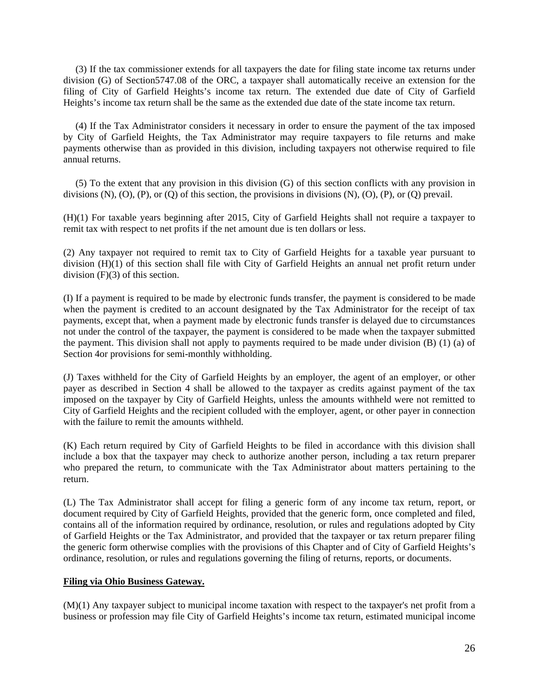(3) If the tax commissioner extends for all taxpayers the date for filing state income tax returns under division (G) of Section5747.08 of the ORC, a taxpayer shall automatically receive an extension for the filing of City of Garfield Heights's income tax return. The extended due date of City of Garfield Heights's income tax return shall be the same as the extended due date of the state income tax return.

 (4) If the Tax Administrator considers it necessary in order to ensure the payment of the tax imposed by City of Garfield Heights, the Tax Administrator may require taxpayers to file returns and make payments otherwise than as provided in this division, including taxpayers not otherwise required to file annual returns.

 (5) To the extent that any provision in this division (G) of this section conflicts with any provision in divisions  $(N)$ ,  $(O)$ ,  $(P)$ , or  $(Q)$  of this section, the provisions in divisions  $(N)$ ,  $(O)$ ,  $(P)$ , or  $(Q)$  prevail.

(H)(1) For taxable years beginning after 2015, City of Garfield Heights shall not require a taxpayer to remit tax with respect to net profits if the net amount due is ten dollars or less.

(2) Any taxpayer not required to remit tax to City of Garfield Heights for a taxable year pursuant to division (H)(1) of this section shall file with City of Garfield Heights an annual net profit return under division (F)(3) of this section.

(I) If a payment is required to be made by electronic funds transfer, the payment is considered to be made when the payment is credited to an account designated by the Tax Administrator for the receipt of tax payments, except that, when a payment made by electronic funds transfer is delayed due to circumstances not under the control of the taxpayer, the payment is considered to be made when the taxpayer submitted the payment. This division shall not apply to payments required to be made under division (B) (1) (a) of Section 4or provisions for semi-monthly withholding.

(J) Taxes withheld for the City of Garfield Heights by an employer, the agent of an employer, or other payer as described in Section 4 shall be allowed to the taxpayer as credits against payment of the tax imposed on the taxpayer by City of Garfield Heights, unless the amounts withheld were not remitted to City of Garfield Heights and the recipient colluded with the employer, agent, or other payer in connection with the failure to remit the amounts withheld.

(K) Each return required by City of Garfield Heights to be filed in accordance with this division shall include a box that the taxpayer may check to authorize another person, including a tax return preparer who prepared the return, to communicate with the Tax Administrator about matters pertaining to the return.

(L) The Tax Administrator shall accept for filing a generic form of any income tax return, report, or document required by City of Garfield Heights, provided that the generic form, once completed and filed, contains all of the information required by ordinance, resolution, or rules and regulations adopted by City of Garfield Heights or the Tax Administrator, and provided that the taxpayer or tax return preparer filing the generic form otherwise complies with the provisions of this Chapter and of City of Garfield Heights's ordinance, resolution, or rules and regulations governing the filing of returns, reports, or documents.

#### **Filing via Ohio Business Gateway.**

(M)(1) Any taxpayer subject to municipal income taxation with respect to the taxpayer's net profit from a business or profession may file City of Garfield Heights's income tax return, estimated municipal income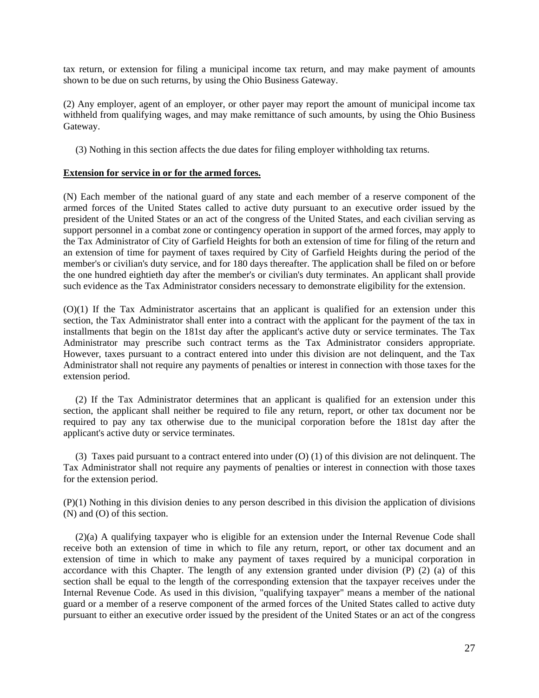tax return, or extension for filing a municipal income tax return, and may make payment of amounts shown to be due on such returns, by using the Ohio Business Gateway.

(2) Any employer, agent of an employer, or other payer may report the amount of municipal income tax withheld from qualifying wages, and may make remittance of such amounts, by using the Ohio Business Gateway.

(3) Nothing in this section affects the due dates for filing employer withholding tax returns.

#### **Extension for service in or for the armed forces.**

(N) Each member of the national guard of any state and each member of a reserve component of the armed forces of the United States called to active duty pursuant to an executive order issued by the president of the United States or an act of the congress of the United States, and each civilian serving as support personnel in a combat zone or contingency operation in support of the armed forces, may apply to the Tax Administrator of City of Garfield Heights for both an extension of time for filing of the return and an extension of time for payment of taxes required by City of Garfield Heights during the period of the member's or civilian's duty service, and for 180 days thereafter. The application shall be filed on or before the one hundred eightieth day after the member's or civilian's duty terminates. An applicant shall provide such evidence as the Tax Administrator considers necessary to demonstrate eligibility for the extension.

(O)(1) If the Tax Administrator ascertains that an applicant is qualified for an extension under this section, the Tax Administrator shall enter into a contract with the applicant for the payment of the tax in installments that begin on the 181st day after the applicant's active duty or service terminates. The Tax Administrator may prescribe such contract terms as the Tax Administrator considers appropriate. However, taxes pursuant to a contract entered into under this division are not delinquent, and the Tax Administrator shall not require any payments of penalties or interest in connection with those taxes for the extension period.

 (2) If the Tax Administrator determines that an applicant is qualified for an extension under this section, the applicant shall neither be required to file any return, report, or other tax document nor be required to pay any tax otherwise due to the municipal corporation before the 181st day after the applicant's active duty or service terminates.

 (3) Taxes paid pursuant to a contract entered into under (O) (1) of this division are not delinquent. The Tax Administrator shall not require any payments of penalties or interest in connection with those taxes for the extension period.

(P)(1) Nothing in this division denies to any person described in this division the application of divisions (N) and (O) of this section.

 (2)(a) A qualifying taxpayer who is eligible for an extension under the Internal Revenue Code shall receive both an extension of time in which to file any return, report, or other tax document and an extension of time in which to make any payment of taxes required by a municipal corporation in accordance with this Chapter. The length of any extension granted under division  $(P)$  (2) (a) of this section shall be equal to the length of the corresponding extension that the taxpayer receives under the Internal Revenue Code. As used in this division, "qualifying taxpayer" means a member of the national guard or a member of a reserve component of the armed forces of the United States called to active duty pursuant to either an executive order issued by the president of the United States or an act of the congress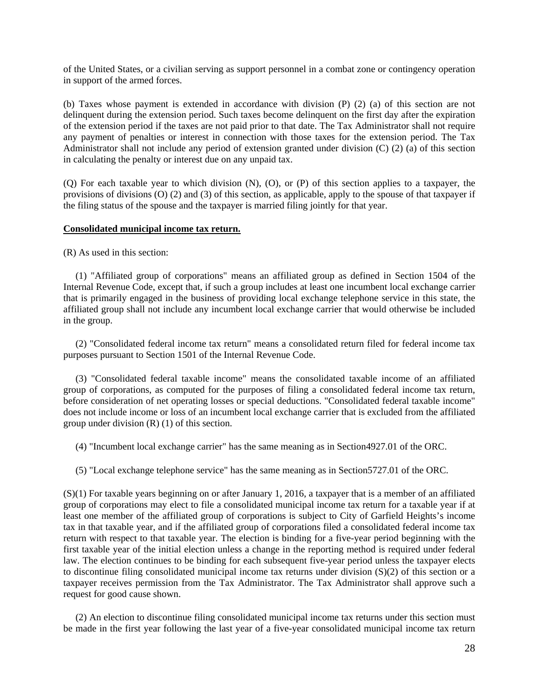of the United States, or a civilian serving as support personnel in a combat zone or contingency operation in support of the armed forces.

(b) Taxes whose payment is extended in accordance with division (P) (2) (a) of this section are not delinquent during the extension period. Such taxes become delinquent on the first day after the expiration of the extension period if the taxes are not paid prior to that date. The Tax Administrator shall not require any payment of penalties or interest in connection with those taxes for the extension period. The Tax Administrator shall not include any period of extension granted under division (C) (2) (a) of this section in calculating the penalty or interest due on any unpaid tax.

(Q) For each taxable year to which division (N), (O), or (P) of this section applies to a taxpayer, the provisions of divisions (O) (2) and (3) of this section, as applicable, apply to the spouse of that taxpayer if the filing status of the spouse and the taxpayer is married filing jointly for that year.

#### **Consolidated municipal income tax return.**

(R) As used in this section:

 (1) "Affiliated group of corporations" means an affiliated group as defined in Section 1504 of the Internal Revenue Code, except that, if such a group includes at least one incumbent local exchange carrier that is primarily engaged in the business of providing local exchange telephone service in this state, the affiliated group shall not include any incumbent local exchange carrier that would otherwise be included in the group.

 (2) "Consolidated federal income tax return" means a consolidated return filed for federal income tax purposes pursuant to Section 1501 of the Internal Revenue Code.

 (3) "Consolidated federal taxable income" means the consolidated taxable income of an affiliated group of corporations, as computed for the purposes of filing a consolidated federal income tax return, before consideration of net operating losses or special deductions. "Consolidated federal taxable income" does not include income or loss of an incumbent local exchange carrier that is excluded from the affiliated group under division (R) (1) of this section.

(4) "Incumbent local exchange carrier" has the same meaning as in Section4927.01 of the ORC.

(5) "Local exchange telephone service" has the same meaning as in Section5727.01 of the ORC.

(S)(1) For taxable years beginning on or after January 1, 2016, a taxpayer that is a member of an affiliated group of corporations may elect to file a consolidated municipal income tax return for a taxable year if at least one member of the affiliated group of corporations is subject to City of Garfield Heights's income tax in that taxable year, and if the affiliated group of corporations filed a consolidated federal income tax return with respect to that taxable year. The election is binding for a five-year period beginning with the first taxable year of the initial election unless a change in the reporting method is required under federal law. The election continues to be binding for each subsequent five-year period unless the taxpayer elects to discontinue filing consolidated municipal income tax returns under division  $(S)(2)$  of this section or a taxpayer receives permission from the Tax Administrator. The Tax Administrator shall approve such a request for good cause shown.

 (2) An election to discontinue filing consolidated municipal income tax returns under this section must be made in the first year following the last year of a five-year consolidated municipal income tax return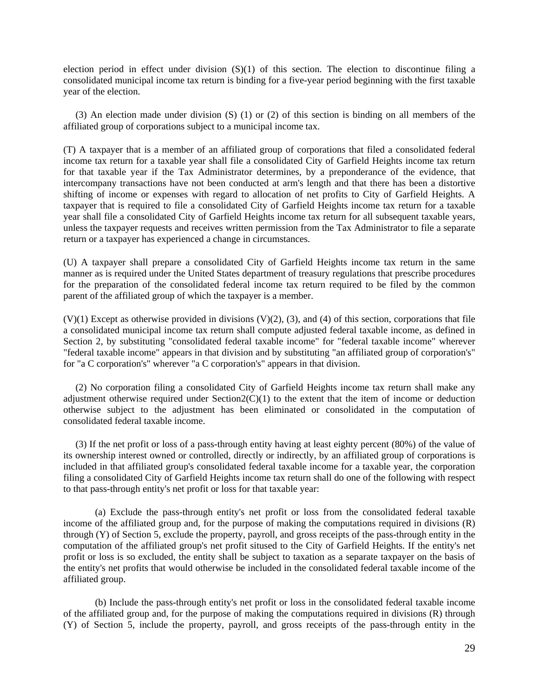election period in effect under division  $(S)(1)$  of this section. The election to discontinue filing a consolidated municipal income tax return is binding for a five-year period beginning with the first taxable year of the election.

 (3) An election made under division (S) (1) or (2) of this section is binding on all members of the affiliated group of corporations subject to a municipal income tax.

(T) A taxpayer that is a member of an affiliated group of corporations that filed a consolidated federal income tax return for a taxable year shall file a consolidated City of Garfield Heights income tax return for that taxable year if the Tax Administrator determines, by a preponderance of the evidence, that intercompany transactions have not been conducted at arm's length and that there has been a distortive shifting of income or expenses with regard to allocation of net profits to City of Garfield Heights. A taxpayer that is required to file a consolidated City of Garfield Heights income tax return for a taxable year shall file a consolidated City of Garfield Heights income tax return for all subsequent taxable years, unless the taxpayer requests and receives written permission from the Tax Administrator to file a separate return or a taxpayer has experienced a change in circumstances.

(U) A taxpayer shall prepare a consolidated City of Garfield Heights income tax return in the same manner as is required under the United States department of treasury regulations that prescribe procedures for the preparation of the consolidated federal income tax return required to be filed by the common parent of the affiliated group of which the taxpayer is a member.

 $(V)(1)$  Except as otherwise provided in divisions  $(V)(2)$ ,  $(3)$ , and  $(4)$  of this section, corporations that file a consolidated municipal income tax return shall compute adjusted federal taxable income, as defined in Section 2, by substituting "consolidated federal taxable income" for "federal taxable income" wherever "federal taxable income" appears in that division and by substituting "an affiliated group of corporation's" for "a C corporation's" wherever "a C corporation's" appears in that division.

 (2) No corporation filing a consolidated City of Garfield Heights income tax return shall make any adjustment otherwise required under  $Section2(C)(1)$  to the extent that the item of income or deduction otherwise subject to the adjustment has been eliminated or consolidated in the computation of consolidated federal taxable income.

 (3) If the net profit or loss of a pass-through entity having at least eighty percent (80%) of the value of its ownership interest owned or controlled, directly or indirectly, by an affiliated group of corporations is included in that affiliated group's consolidated federal taxable income for a taxable year, the corporation filing a consolidated City of Garfield Heights income tax return shall do one of the following with respect to that pass-through entity's net profit or loss for that taxable year:

(a) Exclude the pass-through entity's net profit or loss from the consolidated federal taxable income of the affiliated group and, for the purpose of making the computations required in divisions (R) through (Y) of Section 5, exclude the property, payroll, and gross receipts of the pass-through entity in the computation of the affiliated group's net profit sitused to the City of Garfield Heights. If the entity's net profit or loss is so excluded, the entity shall be subject to taxation as a separate taxpayer on the basis of the entity's net profits that would otherwise be included in the consolidated federal taxable income of the affiliated group.

(b) Include the pass-through entity's net profit or loss in the consolidated federal taxable income of the affiliated group and, for the purpose of making the computations required in divisions (R) through (Y) of Section 5, include the property, payroll, and gross receipts of the pass-through entity in the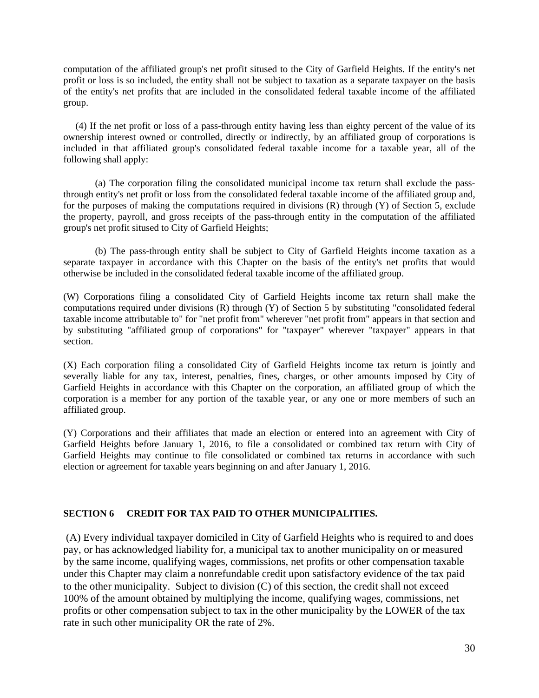computation of the affiliated group's net profit sitused to the City of Garfield Heights. If the entity's net profit or loss is so included, the entity shall not be subject to taxation as a separate taxpayer on the basis of the entity's net profits that are included in the consolidated federal taxable income of the affiliated group.

 (4) If the net profit or loss of a pass-through entity having less than eighty percent of the value of its ownership interest owned or controlled, directly or indirectly, by an affiliated group of corporations is included in that affiliated group's consolidated federal taxable income for a taxable year, all of the following shall apply:

(a) The corporation filing the consolidated municipal income tax return shall exclude the passthrough entity's net profit or loss from the consolidated federal taxable income of the affiliated group and, for the purposes of making the computations required in divisions (R) through (Y) of Section 5, exclude the property, payroll, and gross receipts of the pass-through entity in the computation of the affiliated group's net profit sitused to City of Garfield Heights;

(b) The pass-through entity shall be subject to City of Garfield Heights income taxation as a separate taxpayer in accordance with this Chapter on the basis of the entity's net profits that would otherwise be included in the consolidated federal taxable income of the affiliated group.

(W) Corporations filing a consolidated City of Garfield Heights income tax return shall make the computations required under divisions (R) through (Y) of Section 5 by substituting "consolidated federal taxable income attributable to" for "net profit from" wherever "net profit from" appears in that section and by substituting "affiliated group of corporations" for "taxpayer" wherever "taxpayer" appears in that section.

(X) Each corporation filing a consolidated City of Garfield Heights income tax return is jointly and severally liable for any tax, interest, penalties, fines, charges, or other amounts imposed by City of Garfield Heights in accordance with this Chapter on the corporation, an affiliated group of which the corporation is a member for any portion of the taxable year, or any one or more members of such an affiliated group.

(Y) Corporations and their affiliates that made an election or entered into an agreement with City of Garfield Heights before January 1, 2016, to file a consolidated or combined tax return with City of Garfield Heights may continue to file consolidated or combined tax returns in accordance with such election or agreement for taxable years beginning on and after January 1, 2016.

### **SECTION 6 CREDIT FOR TAX PAID TO OTHER MUNICIPALITIES.**

 (A) Every individual taxpayer domiciled in City of Garfield Heights who is required to and does pay, or has acknowledged liability for, a municipal tax to another municipality on or measured by the same income, qualifying wages, commissions, net profits or other compensation taxable under this Chapter may claim a nonrefundable credit upon satisfactory evidence of the tax paid to the other municipality. Subject to division (C) of this section, the credit shall not exceed 100% of the amount obtained by multiplying the income, qualifying wages, commissions, net profits or other compensation subject to tax in the other municipality by the LOWER of the tax rate in such other municipality OR the rate of 2%.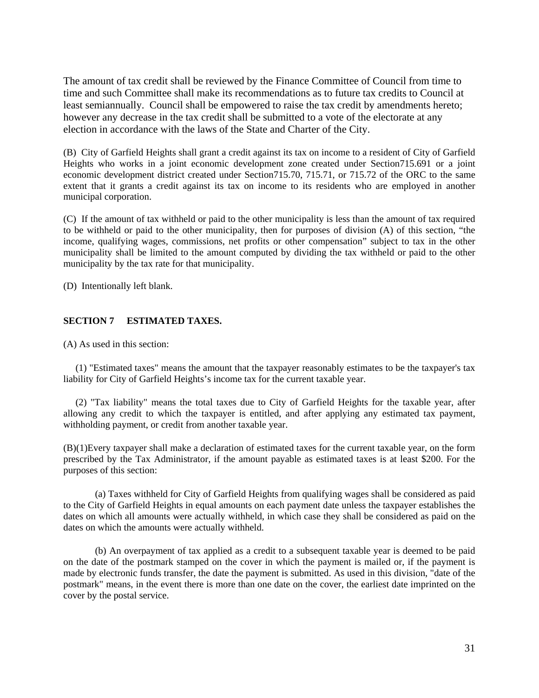The amount of tax credit shall be reviewed by the Finance Committee of Council from time to time and such Committee shall make its recommendations as to future tax credits to Council at least semiannually. Council shall be empowered to raise the tax credit by amendments hereto; however any decrease in the tax credit shall be submitted to a vote of the electorate at any election in accordance with the laws of the State and Charter of the City.

(B) City of Garfield Heights shall grant a credit against its tax on income to a resident of City of Garfield Heights who works in a joint economic development zone created under Section715.691 or a joint economic development district created under Section715.70, 715.71, or 715.72 of the ORC to the same extent that it grants a credit against its tax on income to its residents who are employed in another municipal corporation.

(C) If the amount of tax withheld or paid to the other municipality is less than the amount of tax required to be withheld or paid to the other municipality, then for purposes of division (A) of this section, "the income, qualifying wages, commissions, net profits or other compensation" subject to tax in the other municipality shall be limited to the amount computed by dividing the tax withheld or paid to the other municipality by the tax rate for that municipality.

(D) Intentionally left blank.

### **SECTION 7 ESTIMATED TAXES.**

(A) As used in this section:

 (1) "Estimated taxes" means the amount that the taxpayer reasonably estimates to be the taxpayer's tax liability for City of Garfield Heights's income tax for the current taxable year.

 (2) "Tax liability" means the total taxes due to City of Garfield Heights for the taxable year, after allowing any credit to which the taxpayer is entitled, and after applying any estimated tax payment, withholding payment, or credit from another taxable year.

(B)(1)Every taxpayer shall make a declaration of estimated taxes for the current taxable year, on the form prescribed by the Tax Administrator, if the amount payable as estimated taxes is at least \$200. For the purposes of this section:

(a) Taxes withheld for City of Garfield Heights from qualifying wages shall be considered as paid to the City of Garfield Heights in equal amounts on each payment date unless the taxpayer establishes the dates on which all amounts were actually withheld, in which case they shall be considered as paid on the dates on which the amounts were actually withheld.

(b) An overpayment of tax applied as a credit to a subsequent taxable year is deemed to be paid on the date of the postmark stamped on the cover in which the payment is mailed or, if the payment is made by electronic funds transfer, the date the payment is submitted. As used in this division, "date of the postmark" means, in the event there is more than one date on the cover, the earliest date imprinted on the cover by the postal service.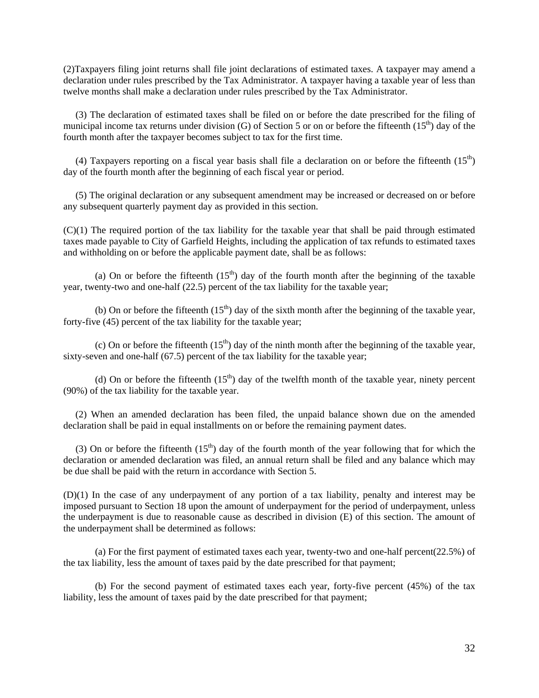(2)Taxpayers filing joint returns shall file joint declarations of estimated taxes. A taxpayer may amend a declaration under rules prescribed by the Tax Administrator. A taxpayer having a taxable year of less than twelve months shall make a declaration under rules prescribed by the Tax Administrator.

 (3) The declaration of estimated taxes shall be filed on or before the date prescribed for the filing of municipal income tax returns under division (G) of Section 5 or on or before the fifteenth  $(15<sup>th</sup>)$  day of the fourth month after the taxpayer becomes subject to tax for the first time.

(4) Taxpayers reporting on a fiscal year basis shall file a declaration on or before the fifteenth  $(15<sup>th</sup>)$ day of the fourth month after the beginning of each fiscal year or period.

 (5) The original declaration or any subsequent amendment may be increased or decreased on or before any subsequent quarterly payment day as provided in this section.

(C)(1) The required portion of the tax liability for the taxable year that shall be paid through estimated taxes made payable to City of Garfield Heights, including the application of tax refunds to estimated taxes and withholding on or before the applicable payment date, shall be as follows:

(a) On or before the fifteenth  $(15<sup>th</sup>)$  day of the fourth month after the beginning of the taxable year, twenty-two and one-half (22.5) percent of the tax liability for the taxable year;

(b) On or before the fifteenth  $(15<sup>th</sup>)$  day of the sixth month after the beginning of the taxable year, forty-five (45) percent of the tax liability for the taxable year;

(c) On or before the fifteenth  $(15<sup>th</sup>)$  day of the ninth month after the beginning of the taxable year, sixty-seven and one-half (67.5) percent of the tax liability for the taxable year;

(d) On or before the fifteenth  $(15<sup>th</sup>)$  day of the twelfth month of the taxable year, ninety percent (90%) of the tax liability for the taxable year.

 (2) When an amended declaration has been filed, the unpaid balance shown due on the amended declaration shall be paid in equal installments on or before the remaining payment dates.

(3) On or before the fifteenth  $(15<sup>th</sup>)$  day of the fourth month of the year following that for which the declaration or amended declaration was filed, an annual return shall be filed and any balance which may be due shall be paid with the return in accordance with Section 5.

(D)(1) In the case of any underpayment of any portion of a tax liability, penalty and interest may be imposed pursuant to Section 18 upon the amount of underpayment for the period of underpayment, unless the underpayment is due to reasonable cause as described in division (E) of this section. The amount of the underpayment shall be determined as follows:

(a) For the first payment of estimated taxes each year, twenty-two and one-half percent(22.5%) of the tax liability, less the amount of taxes paid by the date prescribed for that payment;

(b) For the second payment of estimated taxes each year, forty-five percent (45%) of the tax liability, less the amount of taxes paid by the date prescribed for that payment;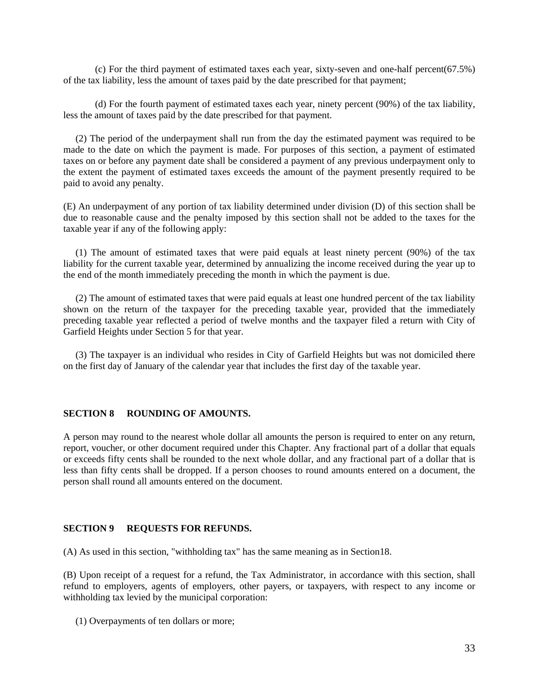(c) For the third payment of estimated taxes each year, sixty-seven and one-half percent(67.5%) of the tax liability, less the amount of taxes paid by the date prescribed for that payment;

(d) For the fourth payment of estimated taxes each year, ninety percent (90%) of the tax liability, less the amount of taxes paid by the date prescribed for that payment.

 (2) The period of the underpayment shall run from the day the estimated payment was required to be made to the date on which the payment is made. For purposes of this section, a payment of estimated taxes on or before any payment date shall be considered a payment of any previous underpayment only to the extent the payment of estimated taxes exceeds the amount of the payment presently required to be paid to avoid any penalty.

(E) An underpayment of any portion of tax liability determined under division (D) of this section shall be due to reasonable cause and the penalty imposed by this section shall not be added to the taxes for the taxable year if any of the following apply:

 (1) The amount of estimated taxes that were paid equals at least ninety percent (90%) of the tax liability for the current taxable year, determined by annualizing the income received during the year up to the end of the month immediately preceding the month in which the payment is due.

 (2) The amount of estimated taxes that were paid equals at least one hundred percent of the tax liability shown on the return of the taxpayer for the preceding taxable year, provided that the immediately preceding taxable year reflected a period of twelve months and the taxpayer filed a return with City of Garfield Heights under Section 5 for that year.

 (3) The taxpayer is an individual who resides in City of Garfield Heights but was not domiciled there on the first day of January of the calendar year that includes the first day of the taxable year.

#### **SECTION 8 ROUNDING OF AMOUNTS.**

A person may round to the nearest whole dollar all amounts the person is required to enter on any return, report, voucher, or other document required under this Chapter. Any fractional part of a dollar that equals or exceeds fifty cents shall be rounded to the next whole dollar, and any fractional part of a dollar that is less than fifty cents shall be dropped. If a person chooses to round amounts entered on a document, the person shall round all amounts entered on the document.

#### **SECTION 9 REQUESTS FOR REFUNDS.**

(A) As used in this section, "withholding tax" has the same meaning as in Section18.

(B) Upon receipt of a request for a refund, the Tax Administrator, in accordance with this section, shall refund to employers, agents of employers, other payers, or taxpayers, with respect to any income or withholding tax levied by the municipal corporation:

(1) Overpayments of ten dollars or more;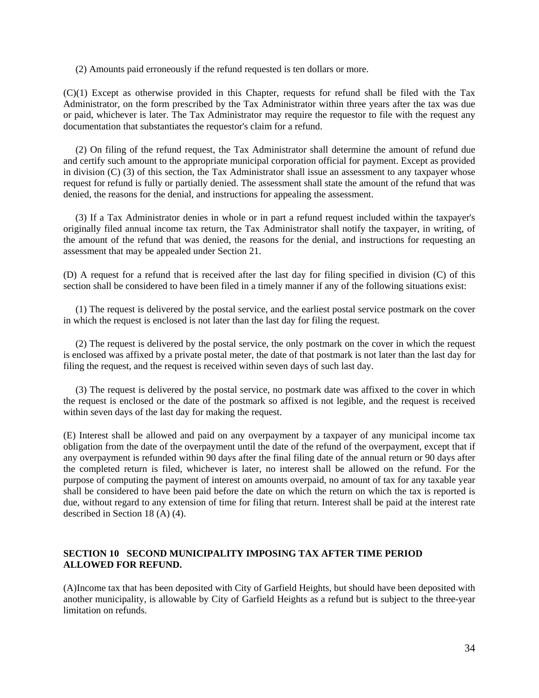(2) Amounts paid erroneously if the refund requested is ten dollars or more.

(C)(1) Except as otherwise provided in this Chapter, requests for refund shall be filed with the Tax Administrator, on the form prescribed by the Tax Administrator within three years after the tax was due or paid, whichever is later. The Tax Administrator may require the requestor to file with the request any documentation that substantiates the requestor's claim for a refund.

 (2) On filing of the refund request, the Tax Administrator shall determine the amount of refund due and certify such amount to the appropriate municipal corporation official for payment. Except as provided in division (C) (3) of this section, the Tax Administrator shall issue an assessment to any taxpayer whose request for refund is fully or partially denied. The assessment shall state the amount of the refund that was denied, the reasons for the denial, and instructions for appealing the assessment.

 (3) If a Tax Administrator denies in whole or in part a refund request included within the taxpayer's originally filed annual income tax return, the Tax Administrator shall notify the taxpayer, in writing, of the amount of the refund that was denied, the reasons for the denial, and instructions for requesting an assessment that may be appealed under Section 21.

(D) A request for a refund that is received after the last day for filing specified in division (C) of this section shall be considered to have been filed in a timely manner if any of the following situations exist:

 (1) The request is delivered by the postal service, and the earliest postal service postmark on the cover in which the request is enclosed is not later than the last day for filing the request.

 (2) The request is delivered by the postal service, the only postmark on the cover in which the request is enclosed was affixed by a private postal meter, the date of that postmark is not later than the last day for filing the request, and the request is received within seven days of such last day.

 (3) The request is delivered by the postal service, no postmark date was affixed to the cover in which the request is enclosed or the date of the postmark so affixed is not legible, and the request is received within seven days of the last day for making the request.

(E) Interest shall be allowed and paid on any overpayment by a taxpayer of any municipal income tax obligation from the date of the overpayment until the date of the refund of the overpayment, except that if any overpayment is refunded within 90 days after the final filing date of the annual return or 90 days after the completed return is filed, whichever is later, no interest shall be allowed on the refund. For the purpose of computing the payment of interest on amounts overpaid, no amount of tax for any taxable year shall be considered to have been paid before the date on which the return on which the tax is reported is due, without regard to any extension of time for filing that return. Interest shall be paid at the interest rate described in Section 18 (A) (4).

#### **SECTION 10 SECOND MUNICIPALITY IMPOSING TAX AFTER TIME PERIOD ALLOWED FOR REFUND.**

(A)Income tax that has been deposited with City of Garfield Heights, but should have been deposited with another municipality, is allowable by City of Garfield Heights as a refund but is subject to the three-year limitation on refunds.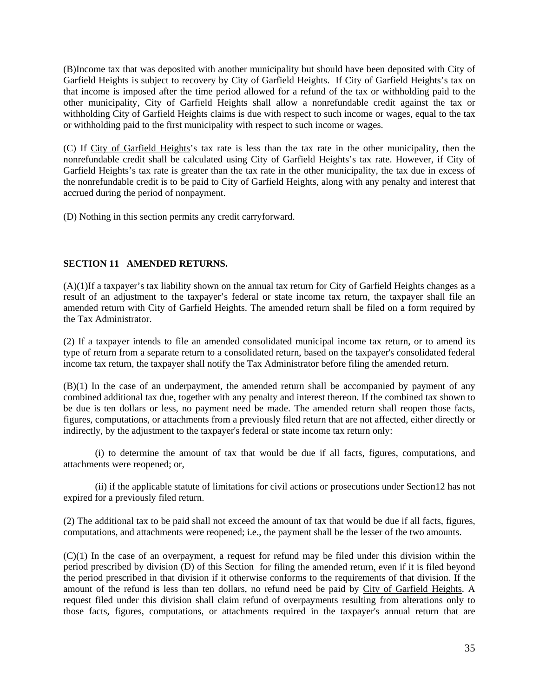(B)Income tax that was deposited with another municipality but should have been deposited with City of Garfield Heights is subject to recovery by City of Garfield Heights. If City of Garfield Heights's tax on that income is imposed after the time period allowed for a refund of the tax or withholding paid to the other municipality, City of Garfield Heights shall allow a nonrefundable credit against the tax or withholding City of Garfield Heights claims is due with respect to such income or wages, equal to the tax or withholding paid to the first municipality with respect to such income or wages.

(C) If City of Garfield Heights's tax rate is less than the tax rate in the other municipality, then the nonrefundable credit shall be calculated using City of Garfield Heights's tax rate. However, if City of Garfield Heights's tax rate is greater than the tax rate in the other municipality, the tax due in excess of the nonrefundable credit is to be paid to City of Garfield Heights, along with any penalty and interest that accrued during the period of nonpayment.

(D) Nothing in this section permits any credit carryforward.

### **SECTION 11 AMENDED RETURNS.**

(A)(1)If a taxpayer's tax liability shown on the annual tax return for City of Garfield Heights changes as a result of an adjustment to the taxpayer's federal or state income tax return, the taxpayer shall file an amended return with City of Garfield Heights. The amended return shall be filed on a form required by the Tax Administrator.

(2) If a taxpayer intends to file an amended consolidated municipal income tax return, or to amend its type of return from a separate return to a consolidated return, based on the taxpayer's consolidated federal income tax return, the taxpayer shall notify the Tax Administrator before filing the amended return.

(B)(1) In the case of an underpayment, the amended return shall be accompanied by payment of any combined additional tax due, together with any penalty and interest thereon. If the combined tax shown to be due is ten dollars or less, no payment need be made. The amended return shall reopen those facts, figures, computations, or attachments from a previously filed return that are not affected, either directly or indirectly, by the adjustment to the taxpayer's federal or state income tax return only:

(i) to determine the amount of tax that would be due if all facts, figures, computations, and attachments were reopened; or,

(ii) if the applicable statute of limitations for civil actions or prosecutions under Section12 has not expired for a previously filed return.

(2) The additional tax to be paid shall not exceed the amount of tax that would be due if all facts, figures, computations, and attachments were reopened; i.e., the payment shall be the lesser of the two amounts.

(C)(1) In the case of an overpayment, a request for refund may be filed under this division within the period prescribed by division (D) of this Section for filing the amended return, even if it is filed beyond the period prescribed in that division if it otherwise conforms to the requirements of that division. If the amount of the refund is less than ten dollars, no refund need be paid by City of Garfield Heights. A request filed under this division shall claim refund of overpayments resulting from alterations only to those facts, figures, computations, or attachments required in the taxpayer's annual return that are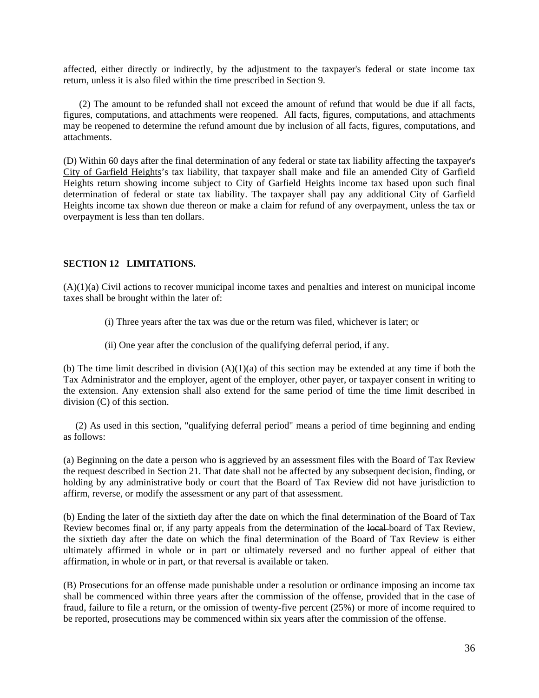affected, either directly or indirectly, by the adjustment to the taxpayer's federal or state income tax return, unless it is also filed within the time prescribed in Section 9.

(2) The amount to be refunded shall not exceed the amount of refund that would be due if all facts, figures, computations, and attachments were reopened. All facts, figures, computations, and attachments may be reopened to determine the refund amount due by inclusion of all facts, figures, computations, and attachments.

(D) Within 60 days after the final determination of any federal or state tax liability affecting the taxpayer's City of Garfield Heights's tax liability, that taxpayer shall make and file an amended City of Garfield Heights return showing income subject to City of Garfield Heights income tax based upon such final determination of federal or state tax liability. The taxpayer shall pay any additional City of Garfield Heights income tax shown due thereon or make a claim for refund of any overpayment, unless the tax or overpayment is less than ten dollars.

#### **SECTION 12 LIMITATIONS.**

(A)(1)(a) Civil actions to recover municipal income taxes and penalties and interest on municipal income taxes shall be brought within the later of:

- (i) Three years after the tax was due or the return was filed, whichever is later; or
- (ii) One year after the conclusion of the qualifying deferral period, if any.

(b) The time limit described in division  $(A)(1)(a)$  of this section may be extended at any time if both the Tax Administrator and the employer, agent of the employer, other payer, or taxpayer consent in writing to the extension. Any extension shall also extend for the same period of time the time limit described in division (C) of this section.

 (2) As used in this section, "qualifying deferral period" means a period of time beginning and ending as follows:

(a) Beginning on the date a person who is aggrieved by an assessment files with the Board of Tax Review the request described in Section 21. That date shall not be affected by any subsequent decision, finding, or holding by any administrative body or court that the Board of Tax Review did not have jurisdiction to affirm, reverse, or modify the assessment or any part of that assessment.

(b) Ending the later of the sixtieth day after the date on which the final determination of the Board of Tax Review becomes final or, if any party appeals from the determination of the local board of Tax Review, the sixtieth day after the date on which the final determination of the Board of Tax Review is either ultimately affirmed in whole or in part or ultimately reversed and no further appeal of either that affirmation, in whole or in part, or that reversal is available or taken.

(B) Prosecutions for an offense made punishable under a resolution or ordinance imposing an income tax shall be commenced within three years after the commission of the offense, provided that in the case of fraud, failure to file a return, or the omission of twenty-five percent (25%) or more of income required to be reported, prosecutions may be commenced within six years after the commission of the offense.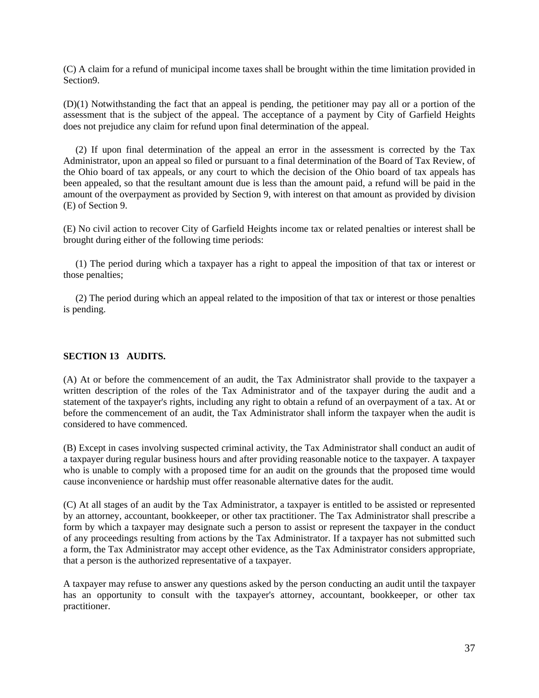(C) A claim for a refund of municipal income taxes shall be brought within the time limitation provided in Section9.

(D)(1) Notwithstanding the fact that an appeal is pending, the petitioner may pay all or a portion of the assessment that is the subject of the appeal. The acceptance of a payment by City of Garfield Heights does not prejudice any claim for refund upon final determination of the appeal.

 (2) If upon final determination of the appeal an error in the assessment is corrected by the Tax Administrator, upon an appeal so filed or pursuant to a final determination of the Board of Tax Review, of the Ohio board of tax appeals, or any court to which the decision of the Ohio board of tax appeals has been appealed, so that the resultant amount due is less than the amount paid, a refund will be paid in the amount of the overpayment as provided by Section 9, with interest on that amount as provided by division (E) of Section 9.

(E) No civil action to recover City of Garfield Heights income tax or related penalties or interest shall be brought during either of the following time periods:

 (1) The period during which a taxpayer has a right to appeal the imposition of that tax or interest or those penalties;

 (2) The period during which an appeal related to the imposition of that tax or interest or those penalties is pending.

#### **SECTION 13 AUDITS.**

(A) At or before the commencement of an audit, the Tax Administrator shall provide to the taxpayer a written description of the roles of the Tax Administrator and of the taxpayer during the audit and a statement of the taxpayer's rights, including any right to obtain a refund of an overpayment of a tax. At or before the commencement of an audit, the Tax Administrator shall inform the taxpayer when the audit is considered to have commenced.

(B) Except in cases involving suspected criminal activity, the Tax Administrator shall conduct an audit of a taxpayer during regular business hours and after providing reasonable notice to the taxpayer. A taxpayer who is unable to comply with a proposed time for an audit on the grounds that the proposed time would cause inconvenience or hardship must offer reasonable alternative dates for the audit.

(C) At all stages of an audit by the Tax Administrator, a taxpayer is entitled to be assisted or represented by an attorney, accountant, bookkeeper, or other tax practitioner. The Tax Administrator shall prescribe a form by which a taxpayer may designate such a person to assist or represent the taxpayer in the conduct of any proceedings resulting from actions by the Tax Administrator. If a taxpayer has not submitted such a form, the Tax Administrator may accept other evidence, as the Tax Administrator considers appropriate, that a person is the authorized representative of a taxpayer.

A taxpayer may refuse to answer any questions asked by the person conducting an audit until the taxpayer has an opportunity to consult with the taxpayer's attorney, accountant, bookkeeper, or other tax practitioner.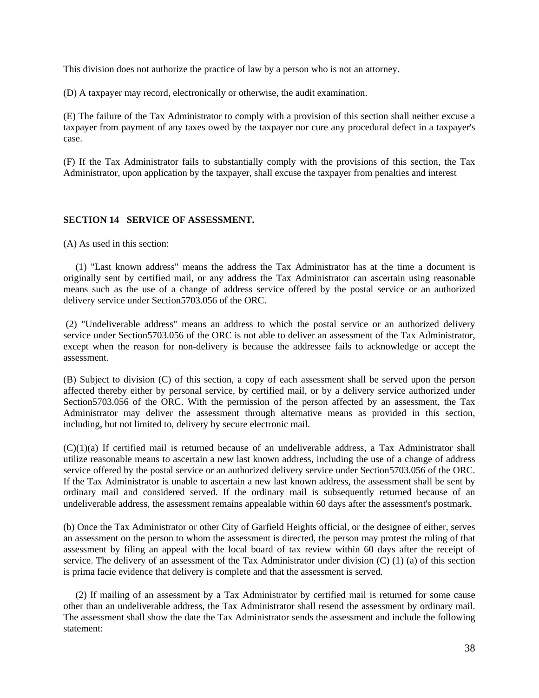This division does not authorize the practice of law by a person who is not an attorney.

(D) A taxpayer may record, electronically or otherwise, the audit examination.

(E) The failure of the Tax Administrator to comply with a provision of this section shall neither excuse a taxpayer from payment of any taxes owed by the taxpayer nor cure any procedural defect in a taxpayer's case.

(F) If the Tax Administrator fails to substantially comply with the provisions of this section, the Tax Administrator, upon application by the taxpayer, shall excuse the taxpayer from penalties and interest

#### **SECTION 14 SERVICE OF ASSESSMENT.**

(A) As used in this section:

 (1) "Last known address" means the address the Tax Administrator has at the time a document is originally sent by certified mail, or any address the Tax Administrator can ascertain using reasonable means such as the use of a change of address service offered by the postal service or an authorized delivery service under Section5703.056 of the ORC.

 (2) "Undeliverable address" means an address to which the postal service or an authorized delivery service under Section5703.056 of the ORC is not able to deliver an assessment of the Tax Administrator, except when the reason for non-delivery is because the addressee fails to acknowledge or accept the assessment.

(B) Subject to division (C) of this section, a copy of each assessment shall be served upon the person affected thereby either by personal service, by certified mail, or by a delivery service authorized under Section5703.056 of the ORC. With the permission of the person affected by an assessment, the Tax Administrator may deliver the assessment through alternative means as provided in this section, including, but not limited to, delivery by secure electronic mail.

(C)(1)(a) If certified mail is returned because of an undeliverable address, a Tax Administrator shall utilize reasonable means to ascertain a new last known address, including the use of a change of address service offered by the postal service or an authorized delivery service under Section5703.056 of the ORC. If the Tax Administrator is unable to ascertain a new last known address, the assessment shall be sent by ordinary mail and considered served. If the ordinary mail is subsequently returned because of an undeliverable address, the assessment remains appealable within 60 days after the assessment's postmark.

(b) Once the Tax Administrator or other City of Garfield Heights official, or the designee of either, serves an assessment on the person to whom the assessment is directed, the person may protest the ruling of that assessment by filing an appeal with the local board of tax review within 60 days after the receipt of service. The delivery of an assessment of the Tax Administrator under division (C) (1) (a) of this section is prima facie evidence that delivery is complete and that the assessment is served.

 (2) If mailing of an assessment by a Tax Administrator by certified mail is returned for some cause other than an undeliverable address, the Tax Administrator shall resend the assessment by ordinary mail. The assessment shall show the date the Tax Administrator sends the assessment and include the following statement: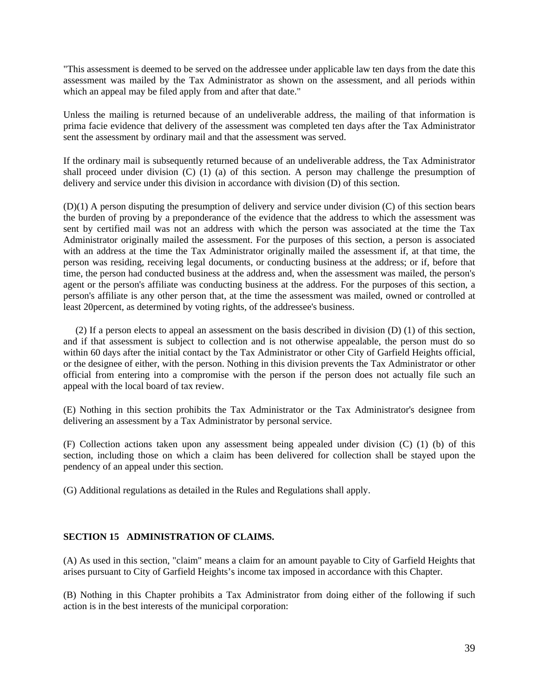"This assessment is deemed to be served on the addressee under applicable law ten days from the date this assessment was mailed by the Tax Administrator as shown on the assessment, and all periods within which an appeal may be filed apply from and after that date."

Unless the mailing is returned because of an undeliverable address, the mailing of that information is prima facie evidence that delivery of the assessment was completed ten days after the Tax Administrator sent the assessment by ordinary mail and that the assessment was served.

If the ordinary mail is subsequently returned because of an undeliverable address, the Tax Administrator shall proceed under division (C) (1) (a) of this section. A person may challenge the presumption of delivery and service under this division in accordance with division (D) of this section.

(D)(1) A person disputing the presumption of delivery and service under division (C) of this section bears the burden of proving by a preponderance of the evidence that the address to which the assessment was sent by certified mail was not an address with which the person was associated at the time the Tax Administrator originally mailed the assessment. For the purposes of this section, a person is associated with an address at the time the Tax Administrator originally mailed the assessment if, at that time, the person was residing, receiving legal documents, or conducting business at the address; or if, before that time, the person had conducted business at the address and, when the assessment was mailed, the person's agent or the person's affiliate was conducting business at the address. For the purposes of this section, a person's affiliate is any other person that, at the time the assessment was mailed, owned or controlled at least 20percent, as determined by voting rights, of the addressee's business.

 (2) If a person elects to appeal an assessment on the basis described in division (D) (1) of this section, and if that assessment is subject to collection and is not otherwise appealable, the person must do so within 60 days after the initial contact by the Tax Administrator or other City of Garfield Heights official, or the designee of either, with the person. Nothing in this division prevents the Tax Administrator or other official from entering into a compromise with the person if the person does not actually file such an appeal with the local board of tax review.

(E) Nothing in this section prohibits the Tax Administrator or the Tax Administrator's designee from delivering an assessment by a Tax Administrator by personal service.

(F) Collection actions taken upon any assessment being appealed under division (C) (1) (b) of this section, including those on which a claim has been delivered for collection shall be stayed upon the pendency of an appeal under this section.

(G) Additional regulations as detailed in the Rules and Regulations shall apply.

#### **SECTION 15 ADMINISTRATION OF CLAIMS.**

(A) As used in this section, "claim" means a claim for an amount payable to City of Garfield Heights that arises pursuant to City of Garfield Heights's income tax imposed in accordance with this Chapter.

(B) Nothing in this Chapter prohibits a Tax Administrator from doing either of the following if such action is in the best interests of the municipal corporation: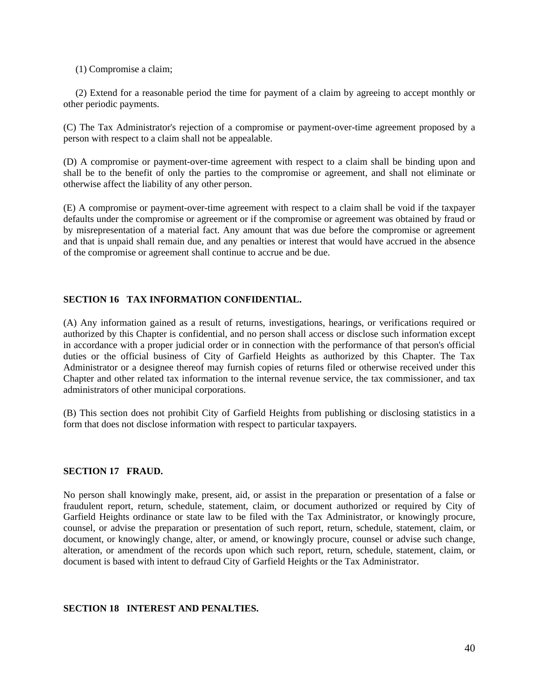(1) Compromise a claim;

 (2) Extend for a reasonable period the time for payment of a claim by agreeing to accept monthly or other periodic payments.

(C) The Tax Administrator's rejection of a compromise or payment-over-time agreement proposed by a person with respect to a claim shall not be appealable.

(D) A compromise or payment-over-time agreement with respect to a claim shall be binding upon and shall be to the benefit of only the parties to the compromise or agreement, and shall not eliminate or otherwise affect the liability of any other person.

(E) A compromise or payment-over-time agreement with respect to a claim shall be void if the taxpayer defaults under the compromise or agreement or if the compromise or agreement was obtained by fraud or by misrepresentation of a material fact. Any amount that was due before the compromise or agreement and that is unpaid shall remain due, and any penalties or interest that would have accrued in the absence of the compromise or agreement shall continue to accrue and be due.

#### **SECTION 16 TAX INFORMATION CONFIDENTIAL.**

(A) Any information gained as a result of returns, investigations, hearings, or verifications required or authorized by this Chapter is confidential, and no person shall access or disclose such information except in accordance with a proper judicial order or in connection with the performance of that person's official duties or the official business of City of Garfield Heights as authorized by this Chapter. The Tax Administrator or a designee thereof may furnish copies of returns filed or otherwise received under this Chapter and other related tax information to the internal revenue service, the tax commissioner, and tax administrators of other municipal corporations.

(B) This section does not prohibit City of Garfield Heights from publishing or disclosing statistics in a form that does not disclose information with respect to particular taxpayers.

#### **SECTION 17 FRAUD.**

No person shall knowingly make, present, aid, or assist in the preparation or presentation of a false or fraudulent report, return, schedule, statement, claim, or document authorized or required by City of Garfield Heights ordinance or state law to be filed with the Tax Administrator, or knowingly procure, counsel, or advise the preparation or presentation of such report, return, schedule, statement, claim, or document, or knowingly change, alter, or amend, or knowingly procure, counsel or advise such change, alteration, or amendment of the records upon which such report, return, schedule, statement, claim, or document is based with intent to defraud City of Garfield Heights or the Tax Administrator.

#### **SECTION 18 INTEREST AND PENALTIES.**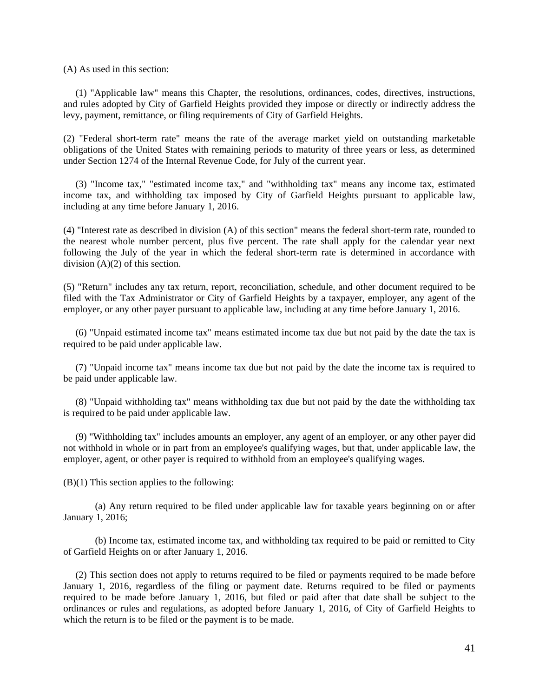(A) As used in this section:

 (1) "Applicable law" means this Chapter, the resolutions, ordinances, codes, directives, instructions, and rules adopted by City of Garfield Heights provided they impose or directly or indirectly address the levy, payment, remittance, or filing requirements of City of Garfield Heights.

(2) "Federal short-term rate" means the rate of the average market yield on outstanding marketable obligations of the United States with remaining periods to maturity of three years or less, as determined under Section 1274 of the Internal Revenue Code, for July of the current year.

 (3) "Income tax," "estimated income tax," and "withholding tax" means any income tax, estimated income tax, and withholding tax imposed by City of Garfield Heights pursuant to applicable law, including at any time before January 1, 2016.

(4) "Interest rate as described in division (A) of this section" means the federal short-term rate, rounded to the nearest whole number percent, plus five percent. The rate shall apply for the calendar year next following the July of the year in which the federal short-term rate is determined in accordance with division (A)(2) of this section.

(5) "Return" includes any tax return, report, reconciliation, schedule, and other document required to be filed with the Tax Administrator or City of Garfield Heights by a taxpayer, employer, any agent of the employer, or any other payer pursuant to applicable law, including at any time before January 1, 2016.

 (6) "Unpaid estimated income tax" means estimated income tax due but not paid by the date the tax is required to be paid under applicable law.

 (7) "Unpaid income tax" means income tax due but not paid by the date the income tax is required to be paid under applicable law.

 (8) "Unpaid withholding tax" means withholding tax due but not paid by the date the withholding tax is required to be paid under applicable law.

 (9) "Withholding tax" includes amounts an employer, any agent of an employer, or any other payer did not withhold in whole or in part from an employee's qualifying wages, but that, under applicable law, the employer, agent, or other payer is required to withhold from an employee's qualifying wages.

 $(B)(1)$  This section applies to the following:

(a) Any return required to be filed under applicable law for taxable years beginning on or after January 1, 2016;

(b) Income tax, estimated income tax, and withholding tax required to be paid or remitted to City of Garfield Heights on or after January 1, 2016.

 (2) This section does not apply to returns required to be filed or payments required to be made before January 1, 2016, regardless of the filing or payment date. Returns required to be filed or payments required to be made before January 1, 2016, but filed or paid after that date shall be subject to the ordinances or rules and regulations, as adopted before January 1, 2016, of City of Garfield Heights to which the return is to be filed or the payment is to be made.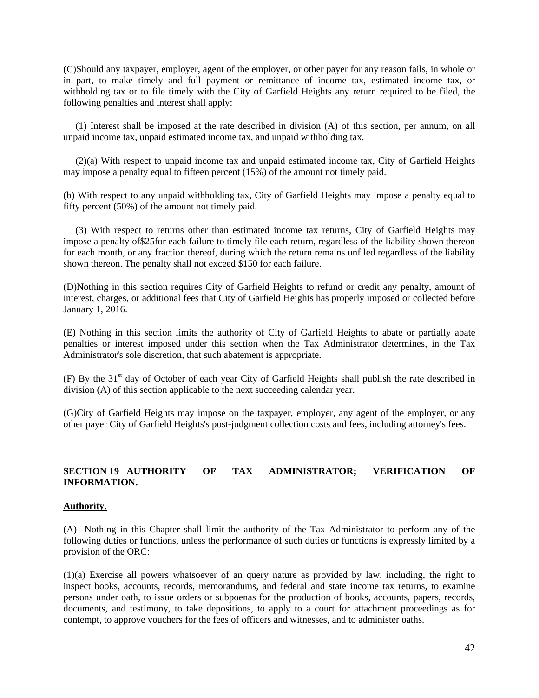(C)Should any taxpayer, employer, agent of the employer, or other payer for any reason fails, in whole or in part, to make timely and full payment or remittance of income tax, estimated income tax, or withholding tax or to file timely with the City of Garfield Heights any return required to be filed, the following penalties and interest shall apply:

 (1) Interest shall be imposed at the rate described in division (A) of this section, per annum, on all unpaid income tax, unpaid estimated income tax, and unpaid withholding tax.

 (2)(a) With respect to unpaid income tax and unpaid estimated income tax, City of Garfield Heights may impose a penalty equal to fifteen percent (15%) of the amount not timely paid.

(b) With respect to any unpaid withholding tax, City of Garfield Heights may impose a penalty equal to fifty percent (50%) of the amount not timely paid.

 (3) With respect to returns other than estimated income tax returns, City of Garfield Heights may impose a penalty of\$25for each failure to timely file each return, regardless of the liability shown thereon for each month, or any fraction thereof, during which the return remains unfiled regardless of the liability shown thereon. The penalty shall not exceed \$150 for each failure.

(D)Nothing in this section requires City of Garfield Heights to refund or credit any penalty, amount of interest, charges, or additional fees that City of Garfield Heights has properly imposed or collected before January 1, 2016.

(E) Nothing in this section limits the authority of City of Garfield Heights to abate or partially abate penalties or interest imposed under this section when the Tax Administrator determines, in the Tax Administrator's sole discretion, that such abatement is appropriate.

(F) By the 31<sup>st</sup> day of October of each year City of Garfield Heights shall publish the rate described in division (A) of this section applicable to the next succeeding calendar year.

(G)City of Garfield Heights may impose on the taxpayer, employer, any agent of the employer, or any other payer City of Garfield Heights's post-judgment collection costs and fees, including attorney's fees.

#### **SECTION 19 AUTHORITY OF TAX ADMINISTRATOR; VERIFICATION OF INFORMATION.**

#### **Authority.**

(A) Nothing in this Chapter shall limit the authority of the Tax Administrator to perform any of the following duties or functions, unless the performance of such duties or functions is expressly limited by a provision of the ORC:

(1)(a) Exercise all powers whatsoever of an query nature as provided by law, including, the right to inspect books, accounts, records, memorandums, and federal and state income tax returns, to examine persons under oath, to issue orders or subpoenas for the production of books, accounts, papers, records, documents, and testimony, to take depositions, to apply to a court for attachment proceedings as for contempt, to approve vouchers for the fees of officers and witnesses, and to administer oaths.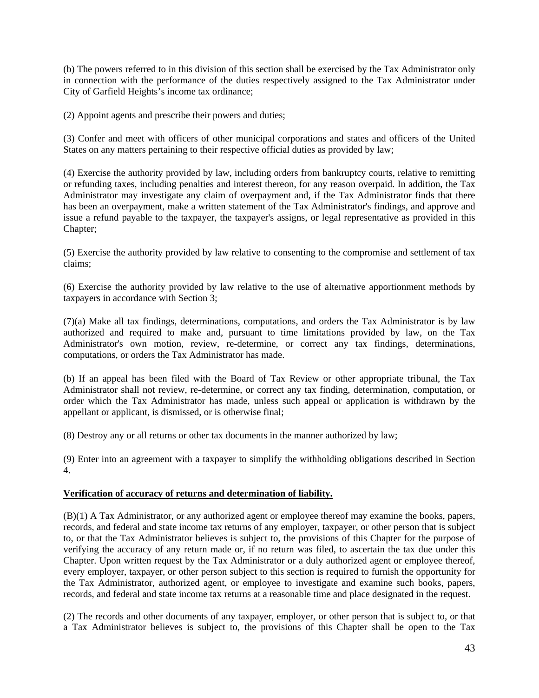(b) The powers referred to in this division of this section shall be exercised by the Tax Administrator only in connection with the performance of the duties respectively assigned to the Tax Administrator under City of Garfield Heights's income tax ordinance;

(2) Appoint agents and prescribe their powers and duties;

(3) Confer and meet with officers of other municipal corporations and states and officers of the United States on any matters pertaining to their respective official duties as provided by law;

(4) Exercise the authority provided by law, including orders from bankruptcy courts, relative to remitting or refunding taxes, including penalties and interest thereon, for any reason overpaid. In addition, the Tax Administrator may investigate any claim of overpayment and, if the Tax Administrator finds that there has been an overpayment, make a written statement of the Tax Administrator's findings, and approve and issue a refund payable to the taxpayer, the taxpayer's assigns, or legal representative as provided in this Chapter;

(5) Exercise the authority provided by law relative to consenting to the compromise and settlement of tax claims;

(6) Exercise the authority provided by law relative to the use of alternative apportionment methods by taxpayers in accordance with Section 3;

(7)(a) Make all tax findings, determinations, computations, and orders the Tax Administrator is by law authorized and required to make and, pursuant to time limitations provided by law, on the Tax Administrator's own motion, review, re-determine, or correct any tax findings, determinations, computations, or orders the Tax Administrator has made.

(b) If an appeal has been filed with the Board of Tax Review or other appropriate tribunal, the Tax Administrator shall not review, re-determine, or correct any tax finding, determination, computation, or order which the Tax Administrator has made, unless such appeal or application is withdrawn by the appellant or applicant, is dismissed, or is otherwise final;

(8) Destroy any or all returns or other tax documents in the manner authorized by law;

(9) Enter into an agreement with a taxpayer to simplify the withholding obligations described in Section 4.

#### **Verification of accuracy of returns and determination of liability.**

(B)(1) A Tax Administrator, or any authorized agent or employee thereof may examine the books, papers, records, and federal and state income tax returns of any employer, taxpayer, or other person that is subject to, or that the Tax Administrator believes is subject to, the provisions of this Chapter for the purpose of verifying the accuracy of any return made or, if no return was filed, to ascertain the tax due under this Chapter. Upon written request by the Tax Administrator or a duly authorized agent or employee thereof, every employer, taxpayer, or other person subject to this section is required to furnish the opportunity for the Tax Administrator, authorized agent, or employee to investigate and examine such books, papers, records, and federal and state income tax returns at a reasonable time and place designated in the request.

(2) The records and other documents of any taxpayer, employer, or other person that is subject to, or that a Tax Administrator believes is subject to, the provisions of this Chapter shall be open to the Tax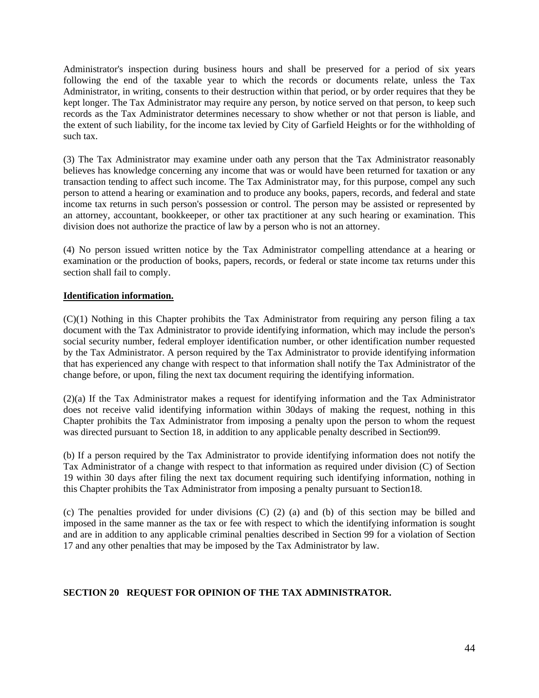Administrator's inspection during business hours and shall be preserved for a period of six years following the end of the taxable year to which the records or documents relate, unless the Tax Administrator, in writing, consents to their destruction within that period, or by order requires that they be kept longer. The Tax Administrator may require any person, by notice served on that person, to keep such records as the Tax Administrator determines necessary to show whether or not that person is liable, and the extent of such liability, for the income tax levied by City of Garfield Heights or for the withholding of such tax.

(3) The Tax Administrator may examine under oath any person that the Tax Administrator reasonably believes has knowledge concerning any income that was or would have been returned for taxation or any transaction tending to affect such income. The Tax Administrator may, for this purpose, compel any such person to attend a hearing or examination and to produce any books, papers, records, and federal and state income tax returns in such person's possession or control. The person may be assisted or represented by an attorney, accountant, bookkeeper, or other tax practitioner at any such hearing or examination. This division does not authorize the practice of law by a person who is not an attorney.

(4) No person issued written notice by the Tax Administrator compelling attendance at a hearing or examination or the production of books, papers, records, or federal or state income tax returns under this section shall fail to comply.

### **Identification information.**

(C)(1) Nothing in this Chapter prohibits the Tax Administrator from requiring any person filing a tax document with the Tax Administrator to provide identifying information, which may include the person's social security number, federal employer identification number, or other identification number requested by the Tax Administrator. A person required by the Tax Administrator to provide identifying information that has experienced any change with respect to that information shall notify the Tax Administrator of the change before, or upon, filing the next tax document requiring the identifying information.

(2)(a) If the Tax Administrator makes a request for identifying information and the Tax Administrator does not receive valid identifying information within 30days of making the request, nothing in this Chapter prohibits the Tax Administrator from imposing a penalty upon the person to whom the request was directed pursuant to Section 18, in addition to any applicable penalty described in Section99.

(b) If a person required by the Tax Administrator to provide identifying information does not notify the Tax Administrator of a change with respect to that information as required under division (C) of Section 19 within 30 days after filing the next tax document requiring such identifying information, nothing in this Chapter prohibits the Tax Administrator from imposing a penalty pursuant to Section18.

(c) The penalties provided for under divisions (C) (2) (a) and (b) of this section may be billed and imposed in the same manner as the tax or fee with respect to which the identifying information is sought and are in addition to any applicable criminal penalties described in Section 99 for a violation of Section 17 and any other penalties that may be imposed by the Tax Administrator by law.

### **SECTION 20 REQUEST FOR OPINION OF THE TAX ADMINISTRATOR.**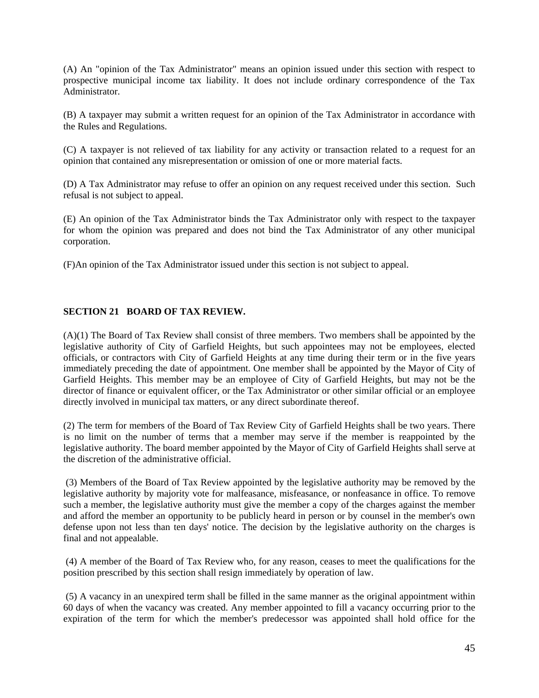(A) An "opinion of the Tax Administrator" means an opinion issued under this section with respect to prospective municipal income tax liability. It does not include ordinary correspondence of the Tax Administrator.

(B) A taxpayer may submit a written request for an opinion of the Tax Administrator in accordance with the Rules and Regulations.

(C) A taxpayer is not relieved of tax liability for any activity or transaction related to a request for an opinion that contained any misrepresentation or omission of one or more material facts.

(D) A Tax Administrator may refuse to offer an opinion on any request received under this section. Such refusal is not subject to appeal.

(E) An opinion of the Tax Administrator binds the Tax Administrator only with respect to the taxpayer for whom the opinion was prepared and does not bind the Tax Administrator of any other municipal corporation.

(F)An opinion of the Tax Administrator issued under this section is not subject to appeal.

#### **SECTION 21 BOARD OF TAX REVIEW.**

(A)(1) The Board of Tax Review shall consist of three members. Two members shall be appointed by the legislative authority of City of Garfield Heights, but such appointees may not be employees, elected officials, or contractors with City of Garfield Heights at any time during their term or in the five years immediately preceding the date of appointment. One member shall be appointed by the Mayor of City of Garfield Heights. This member may be an employee of City of Garfield Heights, but may not be the director of finance or equivalent officer, or the Tax Administrator or other similar official or an employee directly involved in municipal tax matters, or any direct subordinate thereof.

(2) The term for members of the Board of Tax Review City of Garfield Heights shall be two years. There is no limit on the number of terms that a member may serve if the member is reappointed by the legislative authority. The board member appointed by the Mayor of City of Garfield Heights shall serve at the discretion of the administrative official.

 (3) Members of the Board of Tax Review appointed by the legislative authority may be removed by the legislative authority by majority vote for malfeasance, misfeasance, or nonfeasance in office. To remove such a member, the legislative authority must give the member a copy of the charges against the member and afford the member an opportunity to be publicly heard in person or by counsel in the member's own defense upon not less than ten days' notice. The decision by the legislative authority on the charges is final and not appealable.

 (4) A member of the Board of Tax Review who, for any reason, ceases to meet the qualifications for the position prescribed by this section shall resign immediately by operation of law.

 (5) A vacancy in an unexpired term shall be filled in the same manner as the original appointment within 60 days of when the vacancy was created. Any member appointed to fill a vacancy occurring prior to the expiration of the term for which the member's predecessor was appointed shall hold office for the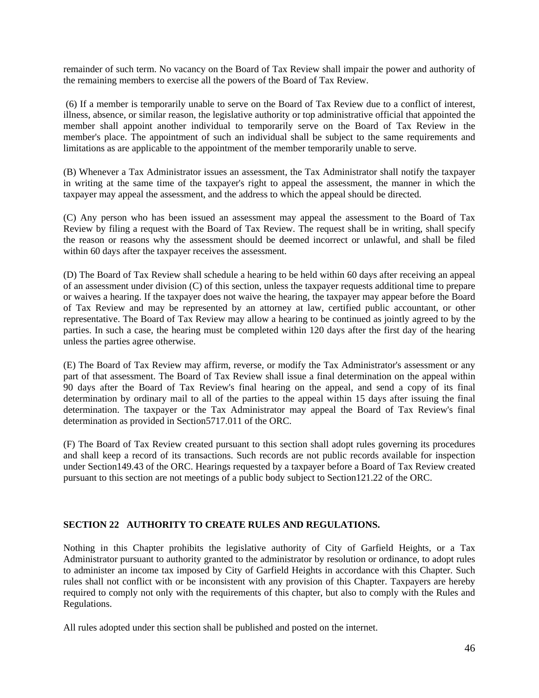remainder of such term. No vacancy on the Board of Tax Review shall impair the power and authority of the remaining members to exercise all the powers of the Board of Tax Review.

 (6) If a member is temporarily unable to serve on the Board of Tax Review due to a conflict of interest, illness, absence, or similar reason, the legislative authority or top administrative official that appointed the member shall appoint another individual to temporarily serve on the Board of Tax Review in the member's place. The appointment of such an individual shall be subject to the same requirements and limitations as are applicable to the appointment of the member temporarily unable to serve.

(B) Whenever a Tax Administrator issues an assessment, the Tax Administrator shall notify the taxpayer in writing at the same time of the taxpayer's right to appeal the assessment, the manner in which the taxpayer may appeal the assessment, and the address to which the appeal should be directed.

(C) Any person who has been issued an assessment may appeal the assessment to the Board of Tax Review by filing a request with the Board of Tax Review. The request shall be in writing, shall specify the reason or reasons why the assessment should be deemed incorrect or unlawful, and shall be filed within 60 days after the taxpayer receives the assessment.

(D) The Board of Tax Review shall schedule a hearing to be held within 60 days after receiving an appeal of an assessment under division (C) of this section, unless the taxpayer requests additional time to prepare or waives a hearing. If the taxpayer does not waive the hearing, the taxpayer may appear before the Board of Tax Review and may be represented by an attorney at law, certified public accountant, or other representative. The Board of Tax Review may allow a hearing to be continued as jointly agreed to by the parties. In such a case, the hearing must be completed within 120 days after the first day of the hearing unless the parties agree otherwise.

(E) The Board of Tax Review may affirm, reverse, or modify the Tax Administrator's assessment or any part of that assessment. The Board of Tax Review shall issue a final determination on the appeal within 90 days after the Board of Tax Review's final hearing on the appeal, and send a copy of its final determination by ordinary mail to all of the parties to the appeal within 15 days after issuing the final determination. The taxpayer or the Tax Administrator may appeal the Board of Tax Review's final determination as provided in Section5717.011 of the ORC.

(F) The Board of Tax Review created pursuant to this section shall adopt rules governing its procedures and shall keep a record of its transactions. Such records are not public records available for inspection under Section149.43 of the ORC. Hearings requested by a taxpayer before a Board of Tax Review created pursuant to this section are not meetings of a public body subject to Section121.22 of the ORC.

#### **SECTION 22 AUTHORITY TO CREATE RULES AND REGULATIONS.**

Nothing in this Chapter prohibits the legislative authority of City of Garfield Heights, or a Tax Administrator pursuant to authority granted to the administrator by resolution or ordinance, to adopt rules to administer an income tax imposed by City of Garfield Heights in accordance with this Chapter. Such rules shall not conflict with or be inconsistent with any provision of this Chapter. Taxpayers are hereby required to comply not only with the requirements of this chapter, but also to comply with the Rules and Regulations.

All rules adopted under this section shall be published and posted on the internet.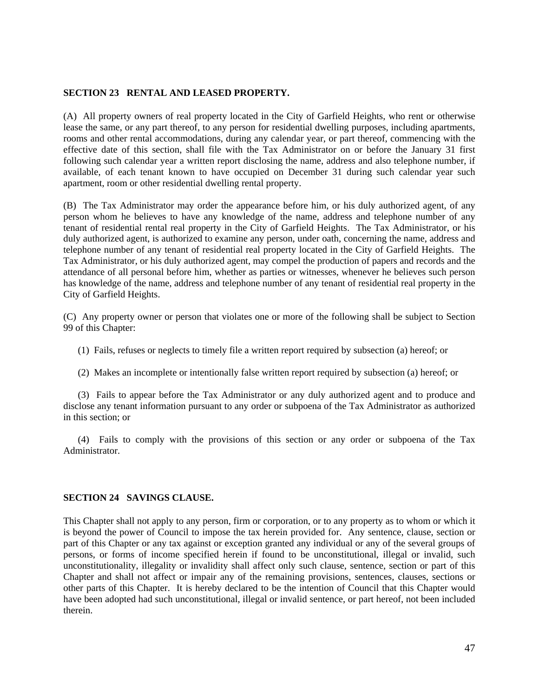#### **SECTION 23 RENTAL AND LEASED PROPERTY.**

(A) All property owners of real property located in the City of Garfield Heights, who rent or otherwise lease the same, or any part thereof, to any person for residential dwelling purposes, including apartments, rooms and other rental accommodations, during any calendar year, or part thereof, commencing with the effective date of this section, shall file with the Tax Administrator on or before the January 31 first following such calendar year a written report disclosing the name, address and also telephone number, if available, of each tenant known to have occupied on December 31 during such calendar year such apartment, room or other residential dwelling rental property.

(B) The Tax Administrator may order the appearance before him, or his duly authorized agent, of any person whom he believes to have any knowledge of the name, address and telephone number of any tenant of residential rental real property in the City of Garfield Heights. The Tax Administrator, or his duly authorized agent, is authorized to examine any person, under oath, concerning the name, address and telephone number of any tenant of residential real property located in the City of Garfield Heights. The Tax Administrator, or his duly authorized agent, may compel the production of papers and records and the attendance of all personal before him, whether as parties or witnesses, whenever he believes such person has knowledge of the name, address and telephone number of any tenant of residential real property in the City of Garfield Heights.

(C) Any property owner or person that violates one or more of the following shall be subject to Section 99 of this Chapter:

- (1) Fails, refuses or neglects to timely file a written report required by subsection (a) hereof; or
- (2) Makes an incomplete or intentionally false written report required by subsection (a) hereof; or

 (3) Fails to appear before the Tax Administrator or any duly authorized agent and to produce and disclose any tenant information pursuant to any order or subpoena of the Tax Administrator as authorized in this section; or

 (4) Fails to comply with the provisions of this section or any order or subpoena of the Tax Administrator.

#### **SECTION 24 SAVINGS CLAUSE.**

This Chapter shall not apply to any person, firm or corporation, or to any property as to whom or which it is beyond the power of Council to impose the tax herein provided for. Any sentence, clause, section or part of this Chapter or any tax against or exception granted any individual or any of the several groups of persons, or forms of income specified herein if found to be unconstitutional, illegal or invalid, such unconstitutionality, illegality or invalidity shall affect only such clause, sentence, section or part of this Chapter and shall not affect or impair any of the remaining provisions, sentences, clauses, sections or other parts of this Chapter. It is hereby declared to be the intention of Council that this Chapter would have been adopted had such unconstitutional, illegal or invalid sentence, or part hereof, not been included therein.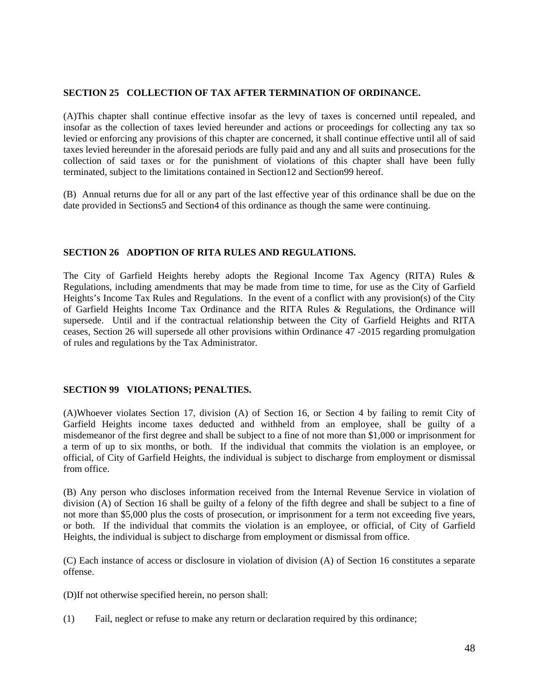#### **SECTION 25 COLLECTION OF TAX AFTER TERMINATION OF ORDINANCE.**

(A)This chapter shall continue effective insofar as the levy of taxes is concerned until repealed, and insofar as the collection of taxes levied hereunder and actions or proceedings for collecting any tax so levied or enforcing any provisions of this chapter are concerned, it shall continue effective until all of said taxes levied hereunder in the aforesaid periods are fully paid and any and all suits and prosecutions for the collection of said taxes or for the punishment of violations of this chapter shall have been fully terminated, subject to the limitations contained in Section12 and Section99 hereof.

(B) Annual returns due for all or any part of the last effective year of this ordinance shall be due on the date provided in Sections5 and Section4 of this ordinance as though the same were continuing.

#### **SECTION 26 ADOPTION OF RITA RULES AND REGULATIONS.**

The City of Garfield Heights hereby adopts the Regional Income Tax Agency (RITA) Rules & Regulations, including amendments that may be made from time to time, for use as the City of Garfield Heights's Income Tax Rules and Regulations. In the event of a conflict with any provision(s) of the City of Garfield Heights Income Tax Ordinance and the RITA Rules & Regulations, the Ordinance will supersede. Until and if the contractual relationship between the City of Garfield Heights and RITA ceases, Section 26 will supersede all other provisions within Ordinance 47 -2015 regarding promulgation of rules and regulations by the Tax Administrator.

#### **SECTION 99 VIOLATIONS; PENALTIES.**

(A)Whoever violates Section 17, division (A) of Section 16, or Section 4 by failing to remit City of Garfield Heights income taxes deducted and withheld from an employee, shall be guilty of a misdemeanor of the first degree and shall be subject to a fine of not more than \$1,000 or imprisonment for a term of up to six months, or both. If the individual that commits the violation is an employee, or official, of City of Garfield Heights, the individual is subject to discharge from employment or dismissal from office.

(B) Any person who discloses information received from the Internal Revenue Service in violation of division (A) of Section 16 shall be guilty of a felony of the fifth degree and shall be subject to a fine of not more than \$5,000 plus the costs of prosecution, or imprisonment for a term not exceeding five years, or both. If the individual that commits the violation is an employee, or official, of City of Garfield Heights, the individual is subject to discharge from employment or dismissal from office.

(C) Each instance of access or disclosure in violation of division (A) of Section 16 constitutes a separate offense.

(D)If not otherwise specified herein, no person shall:

(1) Fail, neglect or refuse to make any return or declaration required by this ordinance;